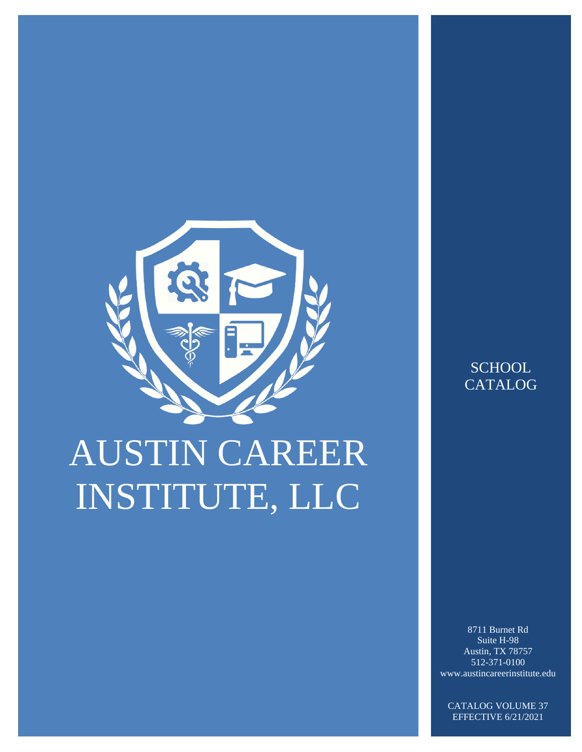

# AUSTIN CAREER INSTITUTE, LLC

**SCHOOL** CATALOG

8711 Burnet Rd Suite H-98 Austin, TX 78757 512-371-0100 www.austincareerinstitute.edu

CATALOG VOLUME 37 EFFECTIVE 6/21/2021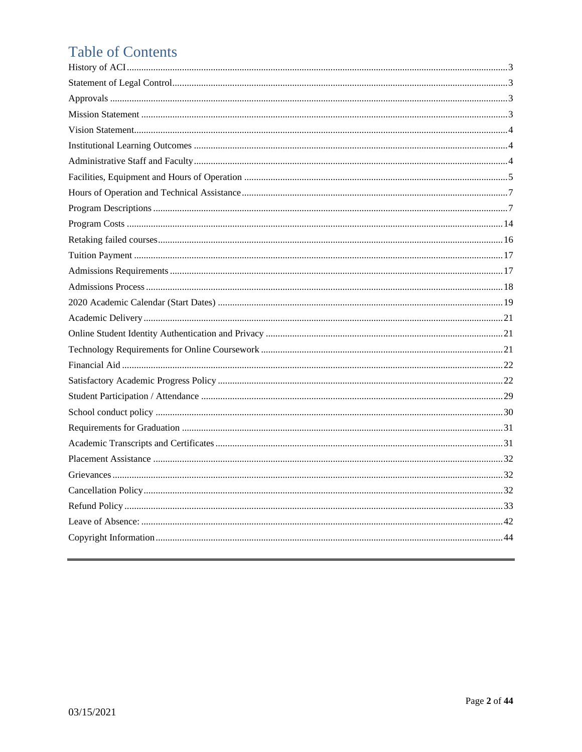# **Table of Contents**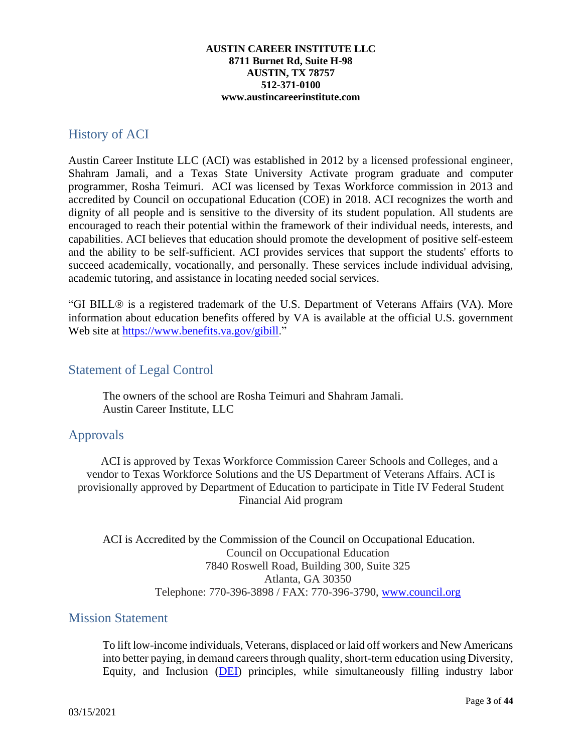#### **AUSTIN CAREER INSTITUTE LLC 8711 Burnet Rd, Suite H-98 AUSTIN, TX 78757 512-371-0100 www.austincareerinstitute.com**

## <span id="page-2-0"></span>History of ACI

Austin Career Institute LLC (ACI) was established in 2012 by a licensed professional engineer, Shahram Jamali, and a Texas State University Activate program graduate and computer programmer, Rosha Teimuri. ACI was licensed by Texas Workforce commission in 2013 and accredited by Council on occupational Education (COE) in 2018. ACI recognizes the worth and dignity of all people and is sensitive to the diversity of its student population. All students are encouraged to reach their potential within the framework of their individual needs, interests, and capabilities. ACI believes that education should promote the development of positive self-esteem and the ability to be self-sufficient. ACI provides services that support the students' efforts to succeed academically, vocationally, and personally. These services include individual advising, academic tutoring, and assistance in locating needed social services.

"GI BILL® is a registered trademark of the U.S. Department of Veterans Affairs (VA). More information about education benefits offered by VA is available at the official U.S. government Web site at [https://www.benefits.va.gov/gibill.](https://www.benefits.va.gov/gibill)"

## <span id="page-2-1"></span>Statement of Legal Control

The owners of the school are Rosha Teimuri and Shahram Jamali. Austin Career Institute, LLC

## <span id="page-2-2"></span>Approvals

ACI is approved by Texas Workforce Commission Career Schools and Colleges, and a vendor to Texas Workforce Solutions and the US Department of Veterans Affairs. ACI is provisionally approved by Department of Education to participate in Title IV Federal Student Financial Aid program

ACI is Accredited by the Commission of the Council on Occupational Education. Council on Occupational Education 7840 Roswell Road, Building 300, Suite 325 Atlanta, GA 30350 Telephone: 770-396-3898 / FAX: 770-396-3790, [www.council.org](http://www.council.org/)

## <span id="page-2-3"></span>Mission Statement

To lift low-income individuals, Veterans, displaced or laid off workers and New Americans into better paying, in demand careers through quality, short-term education using Diversity, Equity, and Inclusion [\(DEI\)](https://dei.extension.org/) principles, while simultaneously filling industry labor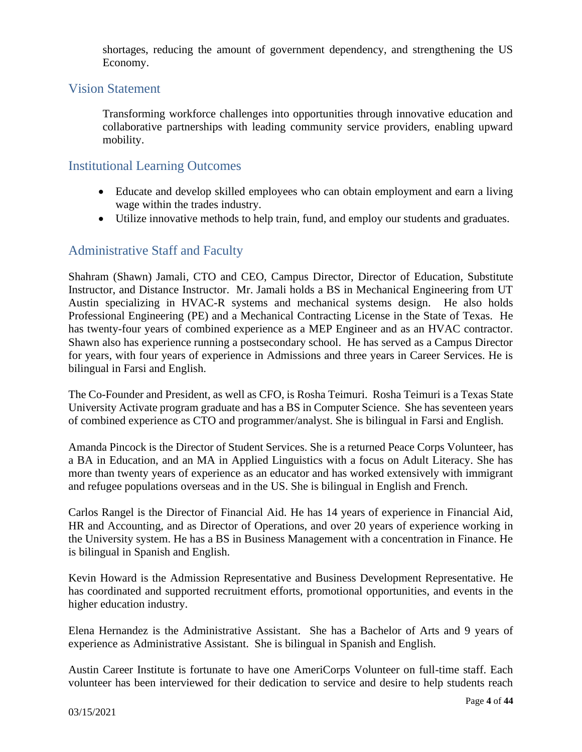shortages, reducing the amount of government dependency, and strengthening the US Economy.

## <span id="page-3-0"></span>Vision Statement

Transforming workforce challenges into opportunities through innovative education and collaborative partnerships with leading community service providers, enabling upward mobility.

## <span id="page-3-1"></span>Institutional Learning Outcomes

- Educate and develop skilled employees who can obtain employment and earn a living wage within the trades industry.
- Utilize innovative methods to help train, fund, and employ our students and graduates.

## <span id="page-3-2"></span>Administrative Staff and Faculty

Shahram (Shawn) Jamali, CTO and CEO, Campus Director, Director of Education, Substitute Instructor, and Distance Instructor. Mr. Jamali holds a BS in Mechanical Engineering from UT Austin specializing in HVAC-R systems and mechanical systems design. He also holds Professional Engineering (PE) and a Mechanical Contracting License in the State of Texas. He has twenty-four years of combined experience as a MEP Engineer and as an HVAC contractor. Shawn also has experience running a postsecondary school. He has served as a Campus Director for years, with four years of experience in Admissions and three years in Career Services. He is bilingual in Farsi and English.

The Co-Founder and President, as well as CFO, is Rosha Teimuri. Rosha Teimuri is a Texas State University Activate program graduate and has a BS in Computer Science. She has seventeen years of combined experience as CTO and programmer/analyst. She is bilingual in Farsi and English.

Amanda Pincock is the Director of Student Services. She is a returned Peace Corps Volunteer, has a BA in Education, and an MA in Applied Linguistics with a focus on Adult Literacy. She has more than twenty years of experience as an educator and has worked extensively with immigrant and refugee populations overseas and in the US. She is bilingual in English and French.

Carlos Rangel is the Director of Financial Aid. He has 14 years of experience in Financial Aid, HR and Accounting, and as Director of Operations, and over 20 years of experience working in the University system. He has a BS in Business Management with a concentration in Finance. He is bilingual in Spanish and English.

Kevin Howard is the Admission Representative and Business Development Representative. He has coordinated and supported recruitment efforts, promotional opportunities, and events in the higher education industry.

Elena Hernandez is the Administrative Assistant. She has a Bachelor of Arts and 9 years of experience as Administrative Assistant. She is bilingual in Spanish and English.

Austin Career Institute is fortunate to have one AmeriCorps Volunteer on full-time staff. Each volunteer has been interviewed for their dedication to service and desire to help students reach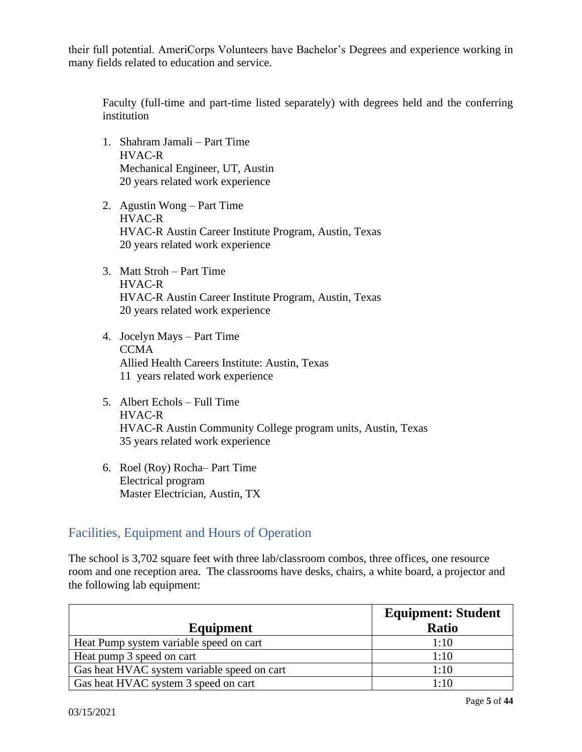their full potential. AmeriCorps Volunteers have Bachelor's Degrees and experience working in many fields related to education and service.

Faculty (full-time and part-time listed separately) with degrees held and the conferring institution

- 1. Shahram Jamali Part Time HVAC-R Mechanical Engineer, UT, Austin 20 years related work experience
- 2. Agustin Wong Part Time HVAC-R HVAC-R Austin Career Institute Program, Austin, Texas 20 years related work experience
- 3. Matt Stroh Part Time HVAC-R HVAC-R Austin Career Institute Program, Austin, Texas 20 years related work experience
- 4. Jocelyn Mays Part Time **CCMA** Allied Health Careers Institute: Austin, Texas 11 years related work experience
- 5. Albert Echols Full Time HVAC-R HVAC-R Austin Community College program units, Austin, Texas 35 years related work experience
- 6. Roel (Roy) Rocha– Part Time Electrical program Master Electrician, Austin, TX

## <span id="page-4-0"></span>Facilities, Equipment and Hours of Operation

The school is 3,702 square feet with three lab/classroom combos, three offices, one resource room and one reception area. The classrooms have desks, chairs, a white board, a projector and the following lab equipment:

|                                             | <b>Equipment: Student</b> |
|---------------------------------------------|---------------------------|
| Equipment                                   | <b>Ratio</b>              |
| Heat Pump system variable speed on cart     | 1:10                      |
| Heat pump 3 speed on cart                   | 1:10                      |
| Gas heat HVAC system variable speed on cart | 1:10                      |
| Gas heat HVAC system 3 speed on cart        | 1:10                      |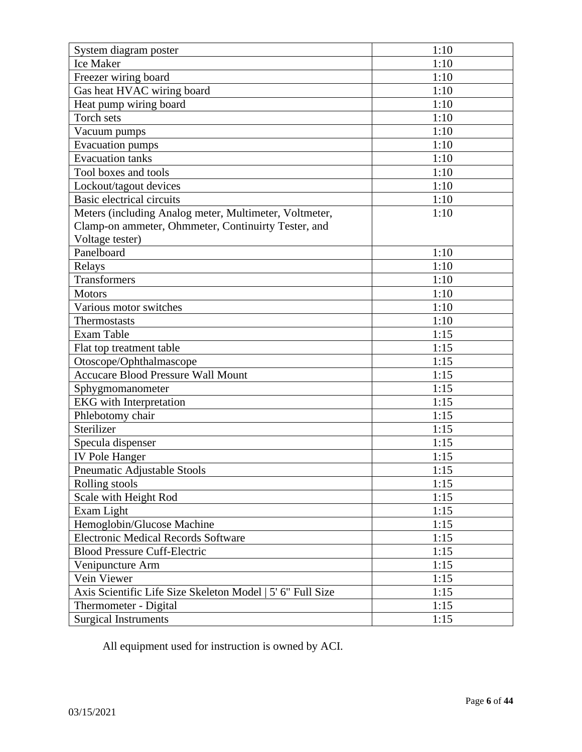| System diagram poster                                      | 1:10 |
|------------------------------------------------------------|------|
| <b>Ice Maker</b>                                           | 1:10 |
| Freezer wiring board                                       | 1:10 |
| Gas heat HVAC wiring board                                 | 1:10 |
| Heat pump wiring board                                     | 1:10 |
| Torch sets                                                 | 1:10 |
| Vacuum pumps                                               | 1:10 |
| <b>Evacuation</b> pumps                                    | 1:10 |
| <b>Evacuation tanks</b>                                    | 1:10 |
| Tool boxes and tools                                       | 1:10 |
| Lockout/tagout devices                                     | 1:10 |
| <b>Basic electrical circuits</b>                           | 1:10 |
| Meters (including Analog meter, Multimeter, Voltmeter,     | 1:10 |
| Clamp-on ammeter, Ohmmeter, Continuirty Tester, and        |      |
| Voltage tester)                                            |      |
| Panelboard                                                 | 1:10 |
| Relays                                                     | 1:10 |
| Transformers                                               | 1:10 |
| <b>Motors</b>                                              | 1:10 |
| Various motor switches                                     | 1:10 |
| Thermostasts                                               | 1:10 |
| Exam Table                                                 | 1:15 |
| Flat top treatment table                                   | 1:15 |
| Otoscope/Ophthalmascope                                    | 1:15 |
| <b>Accucare Blood Pressure Wall Mount</b>                  | 1:15 |
| Sphygmomanometer                                           | 1:15 |
| <b>EKG</b> with Interpretation                             | 1:15 |
| Phlebotomy chair                                           | 1:15 |
| Sterilizer                                                 | 1:15 |
| Specula dispenser                                          | 1:15 |
| IV Pole Hanger                                             | 1:15 |
| Pneumatic Adjustable Stools                                | 1:15 |
| Rolling stools                                             | 1:15 |
| Scale with Height Rod                                      | 1:15 |
| Exam Light                                                 | 1:15 |
| Hemoglobin/Glucose Machine                                 | 1:15 |
| <b>Electronic Medical Records Software</b>                 | 1:15 |
| <b>Blood Pressure Cuff-Electric</b>                        | 1:15 |
| Venipuncture Arm                                           | 1:15 |
| Vein Viewer                                                | 1:15 |
| Axis Scientific Life Size Skeleton Model   5' 6" Full Size | 1:15 |
| Thermometer - Digital                                      | 1:15 |
| <b>Surgical Instruments</b>                                | 1:15 |

All equipment used for instruction is owned by ACI.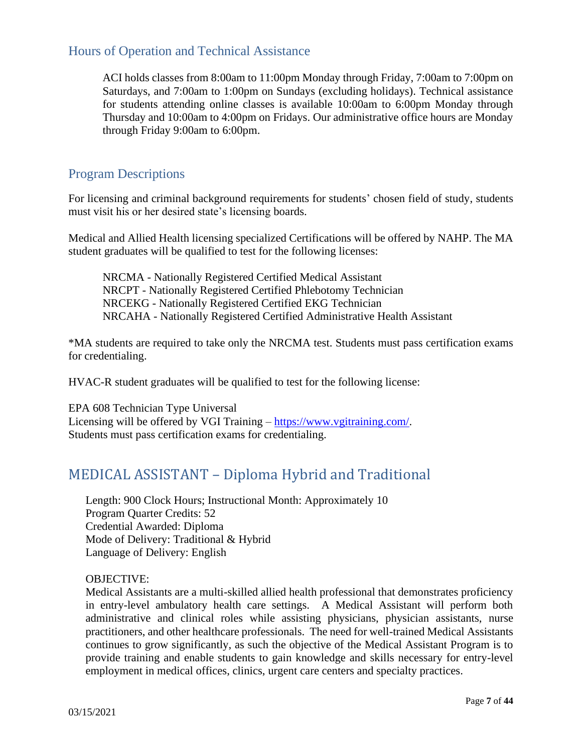## <span id="page-6-0"></span>Hours of Operation and Technical Assistance

ACI holds classes from 8:00am to 11:00pm Monday through Friday, 7:00am to 7:00pm on Saturdays, and 7:00am to 1:00pm on Sundays (excluding holidays). Technical assistance for students attending online classes is available 10:00am to 6:00pm Monday through Thursday and 10:00am to 4:00pm on Fridays. Our administrative office hours are Monday through Friday 9:00am to 6:00pm.

## <span id="page-6-1"></span>Program Descriptions

For licensing and criminal background requirements for students' chosen field of study, students must visit his or her desired state's licensing boards.

Medical and Allied Health licensing specialized Certifications will be offered by NAHP. The MA student graduates will be qualified to test for the following licenses:

NRCMA - Nationally Registered Certified Medical Assistant NRCPT - Nationally Registered Certified Phlebotomy Technician NRCEKG - Nationally Registered Certified EKG Technician NRCAHA - Nationally Registered Certified Administrative Health Assistant

\*MA students are required to take only the NRCMA test. Students must pass certification exams for credentialing.

HVAC-R student graduates will be qualified to test for the following license:

EPA 608 Technician Type Universal Licensing will be offered by VGI Training – [https://www.vgitraining.com/.](https://www.vgitraining.com/) Students must pass certification exams for credentialing.

# MEDICAL ASSISTANT – Diploma Hybrid and Traditional

Length: 900 Clock Hours; Instructional Month: Approximately 10 Program Quarter Credits: 52 Credential Awarded: Diploma Mode of Delivery: Traditional & Hybrid Language of Delivery: English

#### OBJECTIVE:

Medical Assistants are a multi-skilled allied health professional that demonstrates proficiency in entry-level ambulatory health care settings. A Medical Assistant will perform both administrative and clinical roles while assisting physicians, physician assistants, nurse practitioners, and other healthcare professionals. The need for well-trained Medical Assistants continues to grow significantly, as such the objective of the Medical Assistant Program is to provide training and enable students to gain knowledge and skills necessary for entry-level employment in medical offices, clinics, urgent care centers and specialty practices.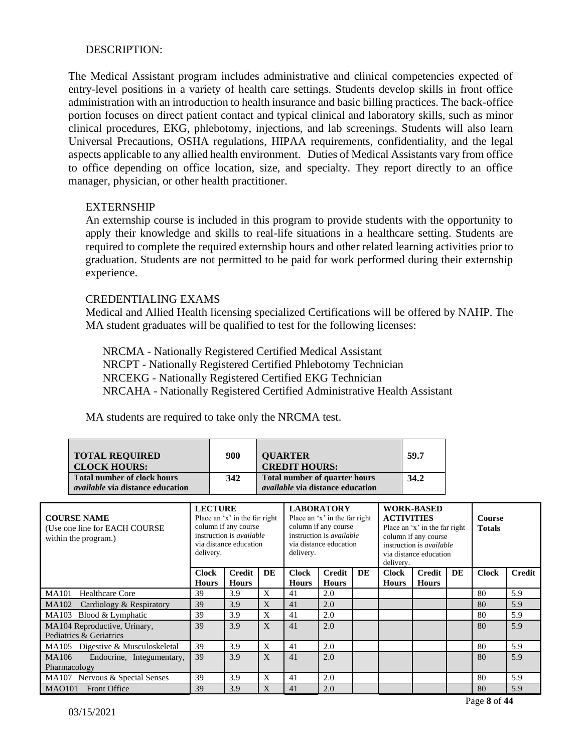#### DESCRIPTION:

The Medical Assistant program includes administrative and clinical competencies expected of entry-level positions in a variety of health care settings. Students develop skills in front office administration with an introduction to health insurance and basic billing practices. The back-office portion focuses on direct patient contact and typical clinical and laboratory skills, such as minor clinical procedures, EKG, phlebotomy, injections, and lab screenings. Students will also learn Universal Precautions, OSHA regulations, HIPAA requirements, confidentiality, and the legal aspects applicable to any allied health environment. Duties of Medical Assistants vary from office to office depending on office location, size, and specialty. They report directly to an office manager, physician, or other health practitioner.

#### **EXTERNSHIP**

An externship course is included in this program to provide students with the opportunity to apply their knowledge and skills to real-life situations in a healthcare setting. Students are required to complete the required externship hours and other related learning activities prior to graduation. Students are not permitted to be paid for work performed during their externship experience.

#### CREDENTIALING EXAMS

Medical and Allied Health licensing specialized Certifications will be offered by NAHP. The MA student graduates will be qualified to test for the following licenses:

 NRCMA - Nationally Registered Certified Medical Assistant NRCPT - Nationally Registered Certified Phlebotomy Technician NRCEKG - Nationally Registered Certified EKG Technician NRCAHA - Nationally Registered Certified Administrative Health Assistant

MA students are required to take only the NRCMA test.

|              | <b>TOTAL REQUIRED</b><br><b>CLOCK HOURS:</b><br><b>Total number of clock hours</b><br>available via distance education |                              | 900<br>342                                                                                                                           | <b>QUARTER</b><br><b>CREDIT HOURS:</b> | <b>Total number of quarter hours</b><br><i>available</i> via distance education |                                                                                                                                                      | 59.7<br>34.2 |                              |                                                                                                                                                                           |    |              |               |
|--------------|------------------------------------------------------------------------------------------------------------------------|------------------------------|--------------------------------------------------------------------------------------------------------------------------------------|----------------------------------------|---------------------------------------------------------------------------------|------------------------------------------------------------------------------------------------------------------------------------------------------|--------------|------------------------------|---------------------------------------------------------------------------------------------------------------------------------------------------------------------------|----|--------------|---------------|
|              | <b>COURSE NAME</b><br>(Use one line for EACH COURSE)<br>within the program.)                                           | delivery.                    | <b>LECTURE</b><br>Place an 'x' in the far right<br>column if any course<br>instruction is <i>available</i><br>via distance education |                                        |                                                                                 | <b>LABORATORY</b><br>Place an 'x' in the far right<br>column if any course<br>instruction is <i>available</i><br>via distance education<br>delivery. |              |                              | <b>WORK-BASED</b><br><b>ACTIVITIES</b><br>Place an 'x' in the far right<br>column if any course<br>instruction is <i>available</i><br>via distance education<br>delivery. |    |              | <b>Course</b> |
|              |                                                                                                                        | <b>Clock</b><br><b>Hours</b> | <b>Credit</b><br><b>Hours</b>                                                                                                        | DE                                     | <b>Clock</b><br><b>Hours</b>                                                    | <b>Credit</b><br><b>Hours</b>                                                                                                                        | DE           | <b>Clock</b><br><b>Hours</b> | <b>Credit</b><br><b>Hours</b>                                                                                                                                             | DE | <b>Clock</b> | <b>Credit</b> |
| <b>MA101</b> | Healthcare Core                                                                                                        | 39                           | 3.9                                                                                                                                  | X                                      | 41                                                                              | 2.0                                                                                                                                                  |              |                              |                                                                                                                                                                           |    | 80           | 5.9           |
| <b>MA102</b> | Cardiology & Respiratory                                                                                               | 39                           | 3.9                                                                                                                                  | X                                      | 41                                                                              | 2.0                                                                                                                                                  |              |                              |                                                                                                                                                                           |    | 80           | 5.9           |
| MA103        | Blood & Lymphatic                                                                                                      | 39                           | 3.9                                                                                                                                  | X                                      | 41                                                                              | 2.0                                                                                                                                                  |              |                              |                                                                                                                                                                           |    | 80           | 5.9           |
|              | MA104 Reproductive, Urinary,<br>Pediatrics & Geriatrics                                                                | 39                           | 3.9                                                                                                                                  | X                                      | 41                                                                              | 2.0                                                                                                                                                  |              |                              |                                                                                                                                                                           |    | 80           | 5.9           |
|              | MA105 Digestive & Musculoskeletal                                                                                      | 39                           | 3.9                                                                                                                                  | X                                      | 41                                                                              | 2.0                                                                                                                                                  |              |                              |                                                                                                                                                                           |    | 80           | 5.9           |
| MA106        | Endocrine, Integumentary,<br>Pharmacology                                                                              | 39                           | 3.9                                                                                                                                  | X                                      | 41                                                                              | 2.0                                                                                                                                                  |              |                              |                                                                                                                                                                           |    | 80           | 5.9           |
|              | MA107 Nervous & Special Senses                                                                                         | 39                           | 3.9                                                                                                                                  | X                                      | 41                                                                              | 2.0                                                                                                                                                  |              |                              |                                                                                                                                                                           |    | 80           | 5.9           |
|              | MAO101 Front Office                                                                                                    | 39                           | 3.9                                                                                                                                  | X                                      | 41                                                                              | 2.0                                                                                                                                                  |              |                              |                                                                                                                                                                           |    | 80           | 5.9           |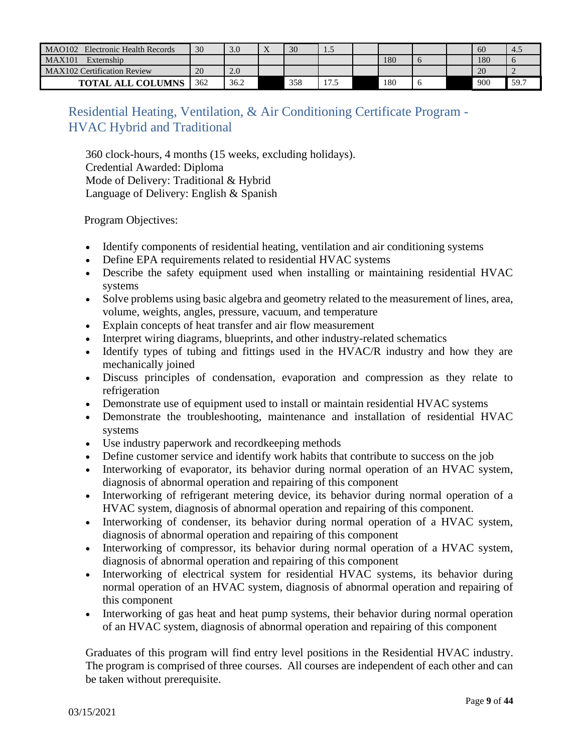| MAO102<br>Electronic Health Records | 30  | 3.0  | $ -$ | 30  | ل . 1        |     |  | 60  | $-4.5$ |
|-------------------------------------|-----|------|------|-----|--------------|-----|--|-----|--------|
| <b>MAX101</b><br>Externship         |     |      |      |     |              | 180 |  | 180 |        |
| <b>MAX102 Certification Review</b>  | 20  | Z.U  |      |     |              |     |  | 20  |        |
| <b>ALL COLUMNS</b><br><b>TOTAI</b>  | 362 | 36.2 |      | 358 | . .<br>ر., ا | 180 |  | 900 | 59.7   |

Residential Heating, Ventilation, & Air Conditioning Certificate Program - HVAC Hybrid and Traditional

360 clock-hours, 4 months (15 weeks, excluding holidays). Credential Awarded: Diploma Mode of Delivery: Traditional & Hybrid Language of Delivery: English & Spanish

Program Objectives:

- Identify components of residential heating, ventilation and air conditioning systems
- Define EPA requirements related to residential HVAC systems
- Describe the safety equipment used when installing or maintaining residential HVAC systems
- Solve problems using basic algebra and geometry related to the measurement of lines, area, volume, weights, angles, pressure, vacuum, and temperature
- Explain concepts of heat transfer and air flow measurement
- Interpret wiring diagrams, blueprints, and other industry-related schematics
- Identify types of tubing and fittings used in the HVAC/R industry and how they are mechanically joined
- Discuss principles of condensation, evaporation and compression as they relate to refrigeration
- Demonstrate use of equipment used to install or maintain residential HVAC systems
- Demonstrate the troubleshooting, maintenance and installation of residential HVAC systems
- Use industry paperwork and recordkeeping methods
- Define customer service and identify work habits that contribute to success on the job
- Interworking of evaporator, its behavior during normal operation of an HVAC system, diagnosis of abnormal operation and repairing of this component
- Interworking of refrigerant metering device, its behavior during normal operation of a HVAC system, diagnosis of abnormal operation and repairing of this component.
- Interworking of condenser, its behavior during normal operation of a HVAC system, diagnosis of abnormal operation and repairing of this component
- Interworking of compressor, its behavior during normal operation of a HVAC system, diagnosis of abnormal operation and repairing of this component
- Interworking of electrical system for residential HVAC systems, its behavior during normal operation of an HVAC system, diagnosis of abnormal operation and repairing of this component
- Interworking of gas heat and heat pump systems, their behavior during normal operation of an HVAC system, diagnosis of abnormal operation and repairing of this component

Graduates of this program will find entry level positions in the Residential HVAC industry. The program is comprised of three courses. All courses are independent of each other and can be taken without prerequisite.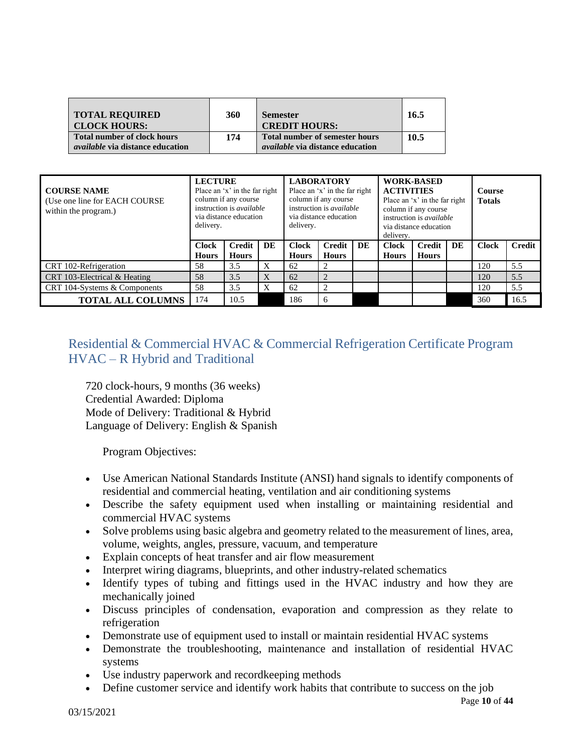| <b>TOTAL REQUIRED</b>                                                         | 360 | <b>Semester</b>                                                                  | 16.5 |
|-------------------------------------------------------------------------------|-----|----------------------------------------------------------------------------------|------|
| <b>CLOCK HOURS:</b>                                                           |     | <b>CREDIT HOURS:</b>                                                             |      |
| <b>Total number of clock hours</b><br><i>available</i> via distance education | 174 | <b>Total number of semester hours</b><br><i>available</i> via distance education | 10.5 |

| <b>COURSE NAME</b><br>(Use one line for EACH COURSE)<br>within the program.) | delivery.                    | <b>LECTURE</b><br>Place an 'x' in the far right<br>column if any course<br>instruction is <i>available</i><br>via distance education |    |                              | <b>LABORATORY</b><br>Place an 'x' in the far right<br>column if any course<br>instruction is <i>available</i><br>via distance education<br>delivery. |    |                              | <b>WORK-BASED</b><br><b>ACTIVITIES</b><br>Place an 'x' in the far right<br>column if any course<br>instruction is <i>available</i><br>via distance education<br>delivery. |    |              | Course<br><b>Totals</b> |  |
|------------------------------------------------------------------------------|------------------------------|--------------------------------------------------------------------------------------------------------------------------------------|----|------------------------------|------------------------------------------------------------------------------------------------------------------------------------------------------|----|------------------------------|---------------------------------------------------------------------------------------------------------------------------------------------------------------------------|----|--------------|-------------------------|--|
|                                                                              | <b>Clock</b><br><b>Hours</b> | <b>Credit</b><br><b>Hours</b>                                                                                                        | DE | <b>Clock</b><br><b>Hours</b> | <b>Credit</b><br><b>Hours</b>                                                                                                                        | DE | <b>Clock</b><br><b>Hours</b> | <b>Credit</b><br><b>Hours</b>                                                                                                                                             | DE | <b>Clock</b> | <b>Credit</b>           |  |
| CRT 102-Refrigeration                                                        | 58                           | 3.5                                                                                                                                  | X  | 62                           | 2                                                                                                                                                    |    |                              |                                                                                                                                                                           |    | 120          | 5.5                     |  |
| CRT 103-Electrical & Heating                                                 | .58                          | 3.5                                                                                                                                  | X  | 62                           | $\overline{2}$                                                                                                                                       |    |                              |                                                                                                                                                                           |    | 120          | 5.5                     |  |
| CRT 104-Systems & Components                                                 | 58<br>3.5<br>X               |                                                                                                                                      |    | 62                           | 2                                                                                                                                                    |    |                              |                                                                                                                                                                           |    | 120          | 5.5                     |  |
| <b>TOTAL ALL COLUMNS</b>                                                     | 174                          | 10.5                                                                                                                                 |    | 186                          | 6                                                                                                                                                    |    |                              |                                                                                                                                                                           |    | 360          | 16.5                    |  |

# Residential & Commercial HVAC & Commercial Refrigeration Certificate Program HVAC – R Hybrid and Traditional

720 clock-hours, 9 months (36 weeks) Credential Awarded: Diploma Mode of Delivery: Traditional & Hybrid Language of Delivery: English & Spanish

Program Objectives:

- Use American National Standards Institute (ANSI) hand signals to identify components of residential and commercial heating, ventilation and air conditioning systems
- Describe the safety equipment used when installing or maintaining residential and commercial HVAC systems
- Solve problems using basic algebra and geometry related to the measurement of lines, area, volume, weights, angles, pressure, vacuum, and temperature
- Explain concepts of heat transfer and air flow measurement
- Interpret wiring diagrams, blueprints, and other industry-related schematics
- Identify types of tubing and fittings used in the HVAC industry and how they are mechanically joined
- Discuss principles of condensation, evaporation and compression as they relate to refrigeration
- Demonstrate use of equipment used to install or maintain residential HVAC systems
- Demonstrate the troubleshooting, maintenance and installation of residential HVAC systems
- Use industry paperwork and recordkeeping methods
- Define customer service and identify work habits that contribute to success on the job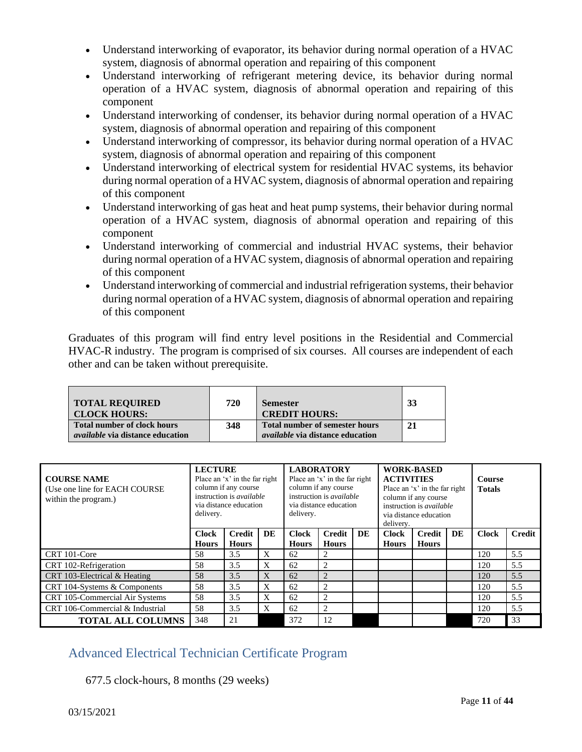- Understand interworking of evaporator, its behavior during normal operation of a HVAC system, diagnosis of abnormal operation and repairing of this component
- Understand interworking of refrigerant metering device, its behavior during normal operation of a HVAC system, diagnosis of abnormal operation and repairing of this component
- Understand interworking of condenser, its behavior during normal operation of a HVAC system, diagnosis of abnormal operation and repairing of this component
- Understand interworking of compressor, its behavior during normal operation of a HVAC system, diagnosis of abnormal operation and repairing of this component
- Understand interworking of electrical system for residential HVAC systems, its behavior during normal operation of a HVAC system, diagnosis of abnormal operation and repairing of this component
- Understand interworking of gas heat and heat pump systems, their behavior during normal operation of a HVAC system, diagnosis of abnormal operation and repairing of this component
- Understand interworking of commercial and industrial HVAC systems, their behavior during normal operation of a HVAC system, diagnosis of abnormal operation and repairing of this component
- Understand interworking of commercial and industrial refrigeration systems, their behavior during normal operation of a HVAC system, diagnosis of abnormal operation and repairing of this component

Graduates of this program will find entry level positions in the Residential and Commercial HVAC-R industry. The program is comprised of six courses. All courses are independent of each other and can be taken without prerequisite.

| <b>TOTAL REQUIRED</b><br><b>CLOCK HOURS:</b>                                  | 720 | <b>Semester</b><br><b>CREDIT HOURS:</b>                                          | 33 |
|-------------------------------------------------------------------------------|-----|----------------------------------------------------------------------------------|----|
| <b>Total number of clock hours</b><br><i>available</i> via distance education | 348 | <b>Total number of semester hours</b><br><i>available</i> via distance education | 21 |

| <b>COURSE NAME</b><br>(Use one line for EACH COURSE)<br>within the program.) | <b>LECTURE</b><br>Place an 'x' in the far right<br>column if any course<br>instruction is <i>available</i><br>via distance education<br>delivery. |                               |    | delivery.                    | <b>LABORATORY</b><br>Place an 'x' in the far right<br>column if any course<br>instruction is <i>available</i><br>via distance education |    | <b>ACTIVITIES</b><br>delivery. | <b>WORK-BASED</b><br>Place an 'x' in the far right<br>column if any course<br>instruction is <i>available</i><br>via distance education | <b>Course</b><br><b>Totals</b> |              |               |
|------------------------------------------------------------------------------|---------------------------------------------------------------------------------------------------------------------------------------------------|-------------------------------|----|------------------------------|-----------------------------------------------------------------------------------------------------------------------------------------|----|--------------------------------|-----------------------------------------------------------------------------------------------------------------------------------------|--------------------------------|--------------|---------------|
|                                                                              | <b>Clock</b><br><b>Hours</b>                                                                                                                      | <b>Credit</b><br><b>Hours</b> | DE | <b>Clock</b><br><b>Hours</b> | <b>Credit</b><br><b>Hours</b>                                                                                                           | DE | <b>Clock</b><br><b>Hours</b>   | <b>Credit</b><br><b>Hours</b>                                                                                                           | DE                             | <b>Clock</b> | <b>Credit</b> |
| CRT 101-Core                                                                 | 58                                                                                                                                                | 3.5                           | X  | 62                           | 2                                                                                                                                       |    |                                |                                                                                                                                         |                                | 120          | 5.5           |
| CRT 102-Refrigeration                                                        | 58                                                                                                                                                | 3.5                           | X  | 62                           | $\overline{2}$                                                                                                                          |    |                                |                                                                                                                                         |                                | 120          | 5.5           |
| CRT 103-Electrical & Heating                                                 | 58                                                                                                                                                | 3.5                           | X  | 62                           | $\overline{2}$                                                                                                                          |    |                                |                                                                                                                                         |                                | 120          | 5.5           |
| CRT 104-Systems & Components                                                 | 58                                                                                                                                                | 3.5                           | X  | 62                           | 2                                                                                                                                       |    |                                |                                                                                                                                         |                                | 120          | 5.5           |
| CRT 105-Commercial Air Systems                                               | 58                                                                                                                                                | 3.5                           | X  | 62                           | $\overline{2}$                                                                                                                          |    |                                |                                                                                                                                         |                                | 120          | 5.5           |
| CRT 106-Commercial & Industrial                                              | 58<br>3.5<br>X                                                                                                                                    |                               | 62 | 2                            |                                                                                                                                         |    |                                |                                                                                                                                         | 120                            | 5.5          |               |
| <b>TOTAL ALL COLUMNS</b>                                                     | 348                                                                                                                                               | 21                            |    | 372                          | 12                                                                                                                                      |    |                                |                                                                                                                                         |                                | 720          | 33            |

# Advanced Electrical Technician Certificate Program

677.5 clock-hours, 8 months (29 weeks)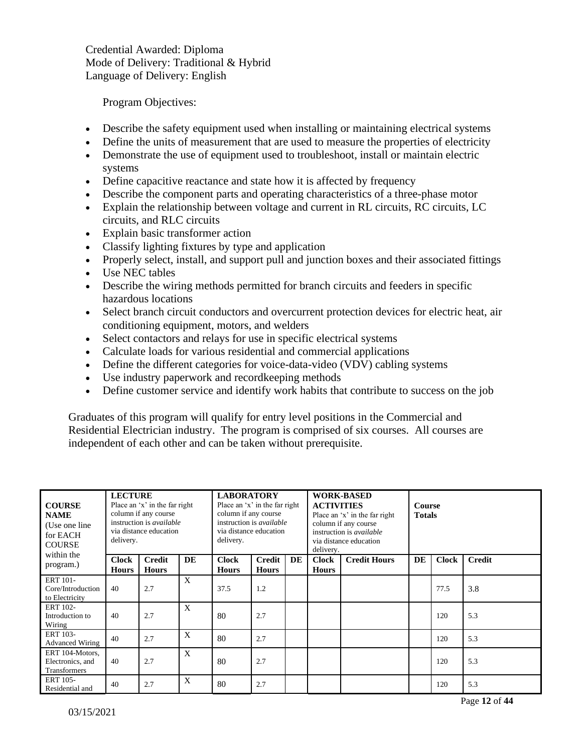Credential Awarded: Diploma Mode of Delivery: Traditional & Hybrid Language of Delivery: English

Program Objectives:

- Describe the safety equipment used when installing or maintaining electrical systems
- Define the units of measurement that are used to measure the properties of electricity
- Demonstrate the use of equipment used to troubleshoot, install or maintain electric systems
- Define capacitive reactance and state how it is affected by frequency
- Describe the component parts and operating characteristics of a three-phase motor
- Explain the relationship between voltage and current in RL circuits, RC circuits, LC circuits, and RLC circuits
- Explain basic transformer action
- Classify lighting fixtures by type and application
- Properly select, install, and support pull and junction boxes and their associated fittings
- Use NEC tables
- Describe the wiring methods permitted for branch circuits and feeders in specific hazardous locations
- Select branch circuit conductors and overcurrent protection devices for electric heat, air conditioning equipment, motors, and welders
- Select contactors and relays for use in specific electrical systems
- Calculate loads for various residential and commercial applications
- Define the different categories for voice-data-video (VDV) cabling systems
- Use industry paperwork and recordkeeping methods
- Define customer service and identify work habits that contribute to success on the job

Graduates of this program will qualify for entry level positions in the Commercial and Residential Electrician industry. The program is comprised of six courses. All courses are independent of each other and can be taken without prerequisite.

| <b>COURSE</b><br><b>NAME</b><br>(Use one line)<br>for EACH<br><b>COURSE</b><br>within the | <b>LECTURE</b><br>Place an 'x' in the far right<br>column if any course<br>instruction is <i>available</i><br>via distance education<br>delivery. |                               |    | <b>LABORATORY</b><br>Place an 'x' in the far right<br>column if any course<br>instruction is <i>available</i><br>via distance education<br>delivery. |                               |    | <b>ACTIVITIES</b><br>delivery. | <b>WORK-BASED</b><br>Place an 'x' in the far right<br>column if any course<br>instruction is <i>available</i><br>via distance education | <b>Course</b><br><b>Totals</b> |              |               |  |
|-------------------------------------------------------------------------------------------|---------------------------------------------------------------------------------------------------------------------------------------------------|-------------------------------|----|------------------------------------------------------------------------------------------------------------------------------------------------------|-------------------------------|----|--------------------------------|-----------------------------------------------------------------------------------------------------------------------------------------|--------------------------------|--------------|---------------|--|
| program.)                                                                                 | <b>Clock</b><br><b>Hours</b>                                                                                                                      | <b>Credit</b><br><b>Hours</b> | DE | <b>Clock</b><br><b>Hours</b>                                                                                                                         | <b>Credit</b><br><b>Hours</b> | DE | <b>Clock</b><br><b>Hours</b>   | <b>Credit Hours</b>                                                                                                                     | DE                             | <b>Clock</b> | <b>Credit</b> |  |
| <b>ERT 101-</b><br>Core/Introduction<br>to Electricity                                    | 40                                                                                                                                                | 2.7                           | X  | 37.5                                                                                                                                                 | 1.2                           |    |                                |                                                                                                                                         |                                | 77.5         | 3.8           |  |
| <b>ERT 102-</b><br>Introduction to<br>Wiring                                              | 40                                                                                                                                                | 2.7                           | X  | 80                                                                                                                                                   | 2.7                           |    |                                |                                                                                                                                         |                                | 120          | 5.3           |  |
| <b>ERT 103-</b><br><b>Advanced Wiring</b>                                                 | 40                                                                                                                                                | 2.7                           | X  | 80                                                                                                                                                   | 2.7                           |    |                                |                                                                                                                                         |                                | 120          | 5.3           |  |
| ERT 104-Motors.<br>Electronics, and<br><b>Transformers</b>                                | 40                                                                                                                                                | 2.7                           | X  | 80                                                                                                                                                   | 2.7                           |    |                                |                                                                                                                                         |                                | 120          | 5.3           |  |
| <b>ERT 105-</b><br>Residential and                                                        | 40                                                                                                                                                | 2.7                           | X  | 80                                                                                                                                                   | 2.7                           |    |                                |                                                                                                                                         |                                | 120          | 5.3           |  |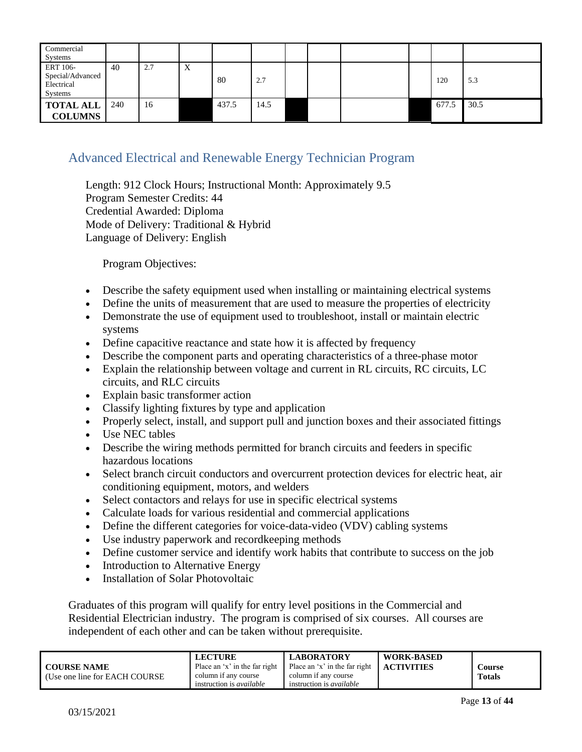| Commercial<br>Systems                                 |     |     |             |       |      |  |  |       |      |
|-------------------------------------------------------|-----|-----|-------------|-------|------|--|--|-------|------|
| ERT 106-<br>Special/Advanced<br>Electrical<br>Systems | 40  | 2.7 | $\tau$<br>A | 80    | 2.7  |  |  | 120   | 5.3  |
| <b>TOTAL ALL</b><br><b>COLUMNS</b>                    | 240 | 16  |             | 437.5 | 14.5 |  |  | 677.5 | 30.5 |

# Advanced Electrical and Renewable Energy Technician Program

Length: 912 Clock Hours; Instructional Month: Approximately 9.5 Program Semester Credits: 44 Credential Awarded: Diploma Mode of Delivery: Traditional & Hybrid Language of Delivery: English

Program Objectives:

- Describe the safety equipment used when installing or maintaining electrical systems
- Define the units of measurement that are used to measure the properties of electricity
- Demonstrate the use of equipment used to troubleshoot, install or maintain electric systems
- Define capacitive reactance and state how it is affected by frequency
- Describe the component parts and operating characteristics of a three-phase motor
- Explain the relationship between voltage and current in RL circuits, RC circuits, LC circuits, and RLC circuits
- Explain basic transformer action
- Classify lighting fixtures by type and application
- Properly select, install, and support pull and junction boxes and their associated fittings
- Use NEC tables
- Describe the wiring methods permitted for branch circuits and feeders in specific hazardous locations
- Select branch circuit conductors and overcurrent protection devices for electric heat, air conditioning equipment, motors, and welders
- Select contactors and relays for use in specific electrical systems
- Calculate loads for various residential and commercial applications
- Define the different categories for voice-data-video (VDV) cabling systems
- Use industry paperwork and recordkeeping methods
- Define customer service and identify work habits that contribute to success on the job
- Introduction to Alternative Energy
- Installation of Solar Photovoltaic

Graduates of this program will qualify for entry level positions in the Commercial and Residential Electrician industry. The program is comprised of six courses. All courses are independent of each other and can be taken without prerequisite.

|                                                      | LECTURE                                               | LABORATORY                                            | <b>WORK-BASED</b> |                         |
|------------------------------------------------------|-------------------------------------------------------|-------------------------------------------------------|-------------------|-------------------------|
| <b>COURSE NAME</b><br>(Use one line for EACH COURSE) | Place an 'x' in the far right<br>column if any course | Place an 'x' in the far right<br>column if any course | <b>ACTIVITIES</b> | Course<br><b>Totals</b> |
|                                                      | instruction is <i>available</i>                       | instruction is <i>available</i>                       |                   |                         |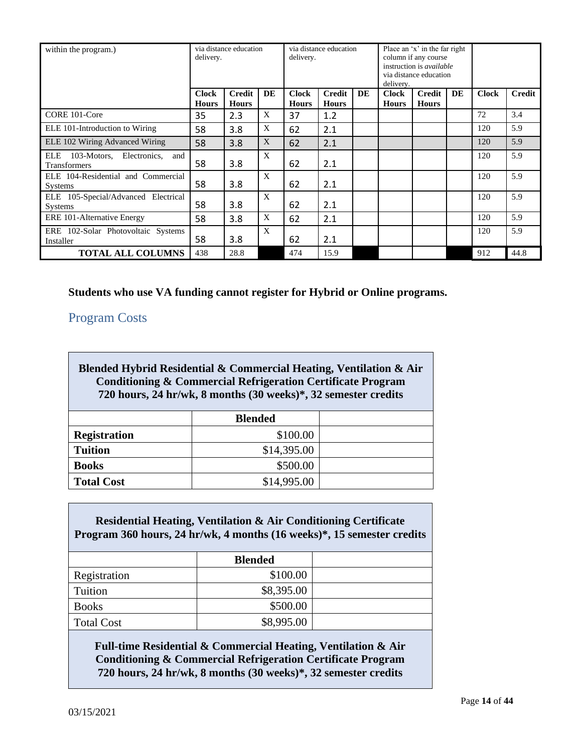| within the program.)                                                    | via distance education<br>delivery. |                               |                           | via distance education<br>delivery. |                               |    | Place an 'x' in the far right<br>column if any course<br>instruction is <i>available</i><br>via distance education<br>delivery. |                               |    |              |               |
|-------------------------------------------------------------------------|-------------------------------------|-------------------------------|---------------------------|-------------------------------------|-------------------------------|----|---------------------------------------------------------------------------------------------------------------------------------|-------------------------------|----|--------------|---------------|
|                                                                         | <b>Clock</b><br><b>Hours</b>        | <b>Credit</b><br><b>Hours</b> | DE                        | <b>Clock</b><br><b>Hours</b>        | <b>Credit</b><br><b>Hours</b> | DE | <b>Clock</b><br><b>Hours</b>                                                                                                    | <b>Credit</b><br><b>Hours</b> | DE | <b>Clock</b> | <b>Credit</b> |
| CORE 101-Core                                                           | 35                                  | 2.3                           | X                         | 37                                  | 1.2                           |    |                                                                                                                                 |                               |    | 72           | 3.4           |
| ELE 101-Introduction to Wiring                                          | 58                                  | 3.8                           | X                         | 62                                  | 2.1                           |    |                                                                                                                                 |                               |    | 120          | 5.9           |
| ELE 102 Wiring Advanced Wiring                                          | 58                                  | 3.8                           | X                         | 62                                  | 2.1                           |    |                                                                                                                                 |                               |    | 120          | 5.9           |
| <b>ELE</b><br>Electronics,<br>103-Motors,<br>and<br><b>Transformers</b> | 58                                  | 3.8                           | $\boldsymbol{\mathrm{X}}$ | 62                                  | 2.1                           |    |                                                                                                                                 |                               |    | 120          | 5.9           |
| ELE 104-Residential and Commercial<br><b>Systems</b>                    | 58                                  | 3.8                           | $\boldsymbol{X}$          | 62                                  | 2.1                           |    |                                                                                                                                 |                               |    | 120          | 5.9           |
| ELE 105-Special/Advanced Electrical<br><b>Systems</b>                   | 58                                  | 3.8                           | $\boldsymbol{X}$          | 62                                  | 2.1                           |    |                                                                                                                                 |                               |    | 120          | 5.9           |
| <b>ERE 101-Alternative Energy</b>                                       | 58                                  | 3.8                           | X                         | 62                                  | 2.1                           |    |                                                                                                                                 |                               |    | 120          | 5.9           |
| ERE 102-Solar Photovoltaic Systems<br>Installer                         | 58                                  | 3.8                           | $\mathbf{X}$              | 62                                  | 2.1                           |    |                                                                                                                                 |                               |    | 120          | 5.9           |
| <b>TOTAL ALL COLUMNS</b>                                                | 438                                 | 28.8                          |                           | 474                                 | 15.9                          |    |                                                                                                                                 |                               |    | 912          | 44.8          |

## <span id="page-13-0"></span>**Students who use VA funding cannot register for Hybrid or Online programs.**

## Program Costs

## **Blended Hybrid Residential & Commercial Heating, Ventilation & Air Conditioning & Commercial Refrigeration Certificate Program 720 hours, 24 hr/wk, 8 months (30 weeks)\*, 32 semester credits**

|                     | <b>Blended</b> |  |
|---------------------|----------------|--|
| <b>Registration</b> | \$100.00       |  |
| <b>Tuition</b>      | \$14,395.00    |  |
| <b>Books</b>        | \$500.00       |  |
| <b>Total Cost</b>   | \$14,995.00    |  |

## **Residential Heating, Ventilation & Air Conditioning Certificate Program 360 hours, 24 hr/wk, 4 months (16 weeks)\*, 15 semester credits**

|                   | <b>Blended</b> |  |
|-------------------|----------------|--|
| Registration      | \$100.00       |  |
| Tuition           | \$8,395.00     |  |
| <b>Books</b>      | \$500.00       |  |
| <b>Total Cost</b> | \$8,995.00     |  |

**Full-time Residential & Commercial Heating, Ventilation & Air Conditioning & Commercial Refrigeration Certificate Program 720 hours, 24 hr/wk, 8 months (30 weeks)\*, 32 semester credits**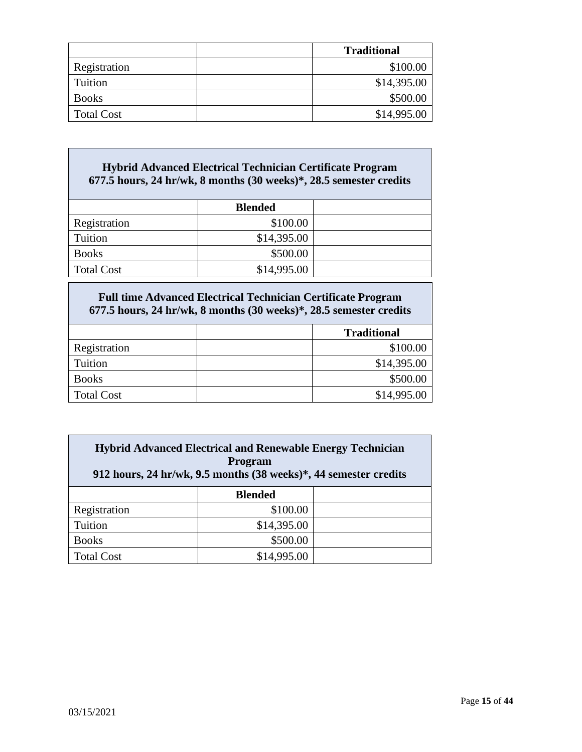|                   | <b>Traditional</b> |
|-------------------|--------------------|
| Registration      | \$100.00           |
| Tuition           | \$14,395.00        |
| <b>Books</b>      | \$500.00           |
| <b>Total Cost</b> | \$14,995.00        |

## **Hybrid Advanced Electrical Technician Certificate Program 677.5 hours, 24 hr/wk, 8 months (30 weeks)\*, 28.5 semester credits**

|                   | <b>Blended</b> |  |
|-------------------|----------------|--|
| Registration      | \$100.00       |  |
| Tuition           | \$14,395.00    |  |
| <b>Books</b>      | \$500.00       |  |
| <b>Total Cost</b> | \$14,995.00    |  |

| <b>Full time Advanced Electrical Technician Certificate Program</b><br>677.5 hours, 24 hr/wk, 8 months (30 weeks)*, 28.5 semester credits |                    |  |  |  |  |
|-------------------------------------------------------------------------------------------------------------------------------------------|--------------------|--|--|--|--|
|                                                                                                                                           | <b>Traditional</b> |  |  |  |  |
| Registration                                                                                                                              | \$100.00           |  |  |  |  |
| Tuition                                                                                                                                   | \$14,395.00        |  |  |  |  |
| <b>Books</b>                                                                                                                              | \$500.00           |  |  |  |  |

Total Cost 14,995.00

| <b>Hybrid Advanced Electrical and Renewable Energy Technician</b><br>Program<br>912 hours, 24 hr/wk, 9.5 months (38 weeks)*, 44 semester credits |                |  |  |  |  |
|--------------------------------------------------------------------------------------------------------------------------------------------------|----------------|--|--|--|--|
|                                                                                                                                                  | <b>Blended</b> |  |  |  |  |
| Registration                                                                                                                                     | \$100.00       |  |  |  |  |
| Tuition                                                                                                                                          | \$14,395.00    |  |  |  |  |
| <b>Books</b>                                                                                                                                     | \$500.00       |  |  |  |  |
| <b>Total Cost</b>                                                                                                                                | \$14,995.00    |  |  |  |  |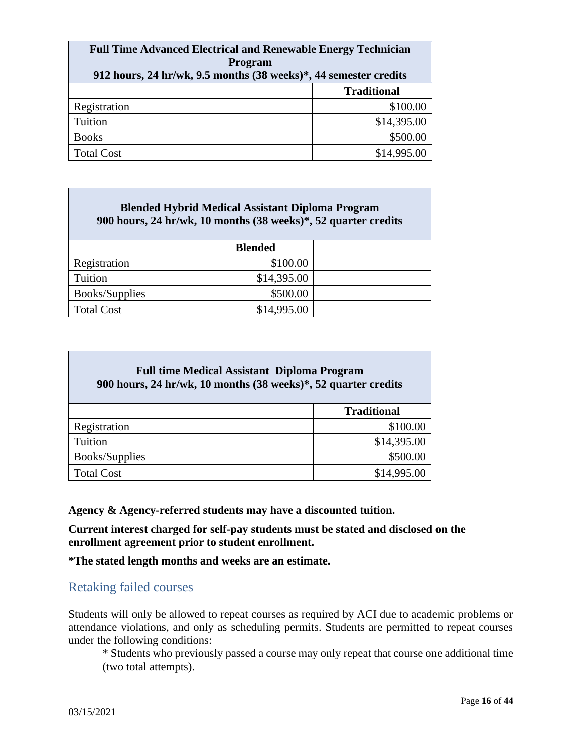| <b>Full Time Advanced Electrical and Renewable Energy Technician</b><br><b>Program</b><br>912 hours, 24 hr/wk, 9.5 months (38 weeks)*, 44 semester credits |                    |  |  |  |
|------------------------------------------------------------------------------------------------------------------------------------------------------------|--------------------|--|--|--|
|                                                                                                                                                            | <b>Traditional</b> |  |  |  |
| Registration                                                                                                                                               | \$100.00           |  |  |  |
| Tuition                                                                                                                                                    | \$14,395.00        |  |  |  |
| <b>Books</b>                                                                                                                                               | \$500.00           |  |  |  |
| <b>Total Cost</b>                                                                                                                                          | \$14,995.00        |  |  |  |

# **Blended Hybrid Medical Assistant Diploma Program 900 hours, 24 hr/wk, 10 months (38 weeks)\*, 52 quarter credits**

|                   | <b>Blended</b> |  |
|-------------------|----------------|--|
| Registration      | \$100.00       |  |
| Tuition           | \$14,395.00    |  |
| Books/Supplies    | \$500.00       |  |
| <b>Total Cost</b> | \$14,995.00    |  |

| <b>Full time Medical Assistant Diploma Program</b><br>900 hours, 24 hr/wk, 10 months (38 weeks)*, 52 quarter credits |                    |  |  |  |  |
|----------------------------------------------------------------------------------------------------------------------|--------------------|--|--|--|--|
|                                                                                                                      | <b>Traditional</b> |  |  |  |  |
| Registration                                                                                                         | \$100.00           |  |  |  |  |
| Tuition                                                                                                              | \$14,395.00        |  |  |  |  |
| <b>Books/Supplies</b>                                                                                                | \$500.00           |  |  |  |  |
| <b>Total Cost</b>                                                                                                    | \$14,995.00        |  |  |  |  |

**Agency & Agency-referred students may have a discounted tuition.**

**Current interest charged for self-pay students must be stated and disclosed on the enrollment agreement prior to student enrollment.** 

<span id="page-15-0"></span>**\*The stated length months and weeks are an estimate.** 

## Retaking failed courses

Students will only be allowed to repeat courses as required by ACI due to academic problems or attendance violations, and only as scheduling permits. Students are permitted to repeat courses under the following conditions:

\* Students who previously passed a course may only repeat that course one additional time (two total attempts).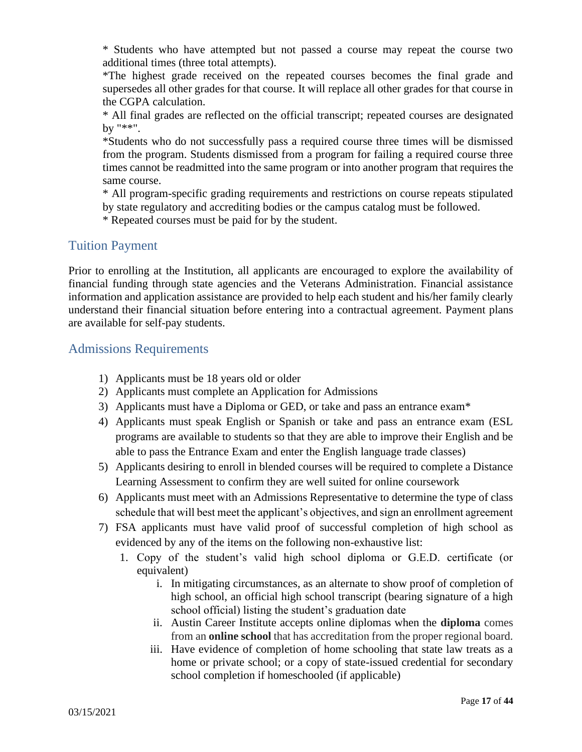\* Students who have attempted but not passed a course may repeat the course two additional times (three total attempts).

\*The highest grade received on the repeated courses becomes the final grade and supersedes all other grades for that course. It will replace all other grades for that course in the CGPA calculation.

\* All final grades are reflected on the official transcript; repeated courses are designated by "\*\*".

\*Students who do not successfully pass a required course three times will be dismissed from the program. Students dismissed from a program for failing a required course three times cannot be readmitted into the same program or into another program that requires the same course.

\* All program-specific grading requirements and restrictions on course repeats stipulated by state regulatory and accrediting bodies or the campus catalog must be followed.

\* Repeated courses must be paid for by the student.

## <span id="page-16-0"></span>Tuition Payment

Prior to enrolling at the Institution, all applicants are encouraged to explore the availability of financial funding through state agencies and the Veterans Administration. Financial assistance information and application assistance are provided to help each student and his/her family clearly understand their financial situation before entering into a contractual agreement. Payment plans are available for self-pay students.

## <span id="page-16-1"></span>Admissions Requirements

- 1) Applicants must be 18 years old or older
- 2) Applicants must complete an Application for Admissions
- 3) Applicants must have a Diploma or GED, or take and pass an entrance exam\*
- 4) Applicants must speak English or Spanish or take and pass an entrance exam (ESL programs are available to students so that they are able to improve their English and be able to pass the Entrance Exam and enter the English language trade classes)
- 5) Applicants desiring to enroll in blended courses will be required to complete a Distance Learning Assessment to confirm they are well suited for online coursework
- 6) Applicants must meet with an Admissions Representative to determine the type of class schedule that will best meet the applicant's objectives, and sign an enrollment agreement
- 7) FSA applicants must have valid proof of successful completion of high school as evidenced by any of the items on the following non-exhaustive list:
	- 1. Copy of the student's valid high school diploma or G.E.D. certificate (or equivalent)
		- i. In mitigating circumstances, as an alternate to show proof of completion of high school, an official high school transcript (bearing signature of a high school official) listing the student's graduation date
		- ii. Austin Career Institute accepts online diplomas when the **diploma** comes from an **online school** that has accreditation from the proper regional board.
		- iii. Have evidence of completion of home schooling that state law treats as a home or private school; or a copy of state-issued credential for secondary school completion if homeschooled (if applicable)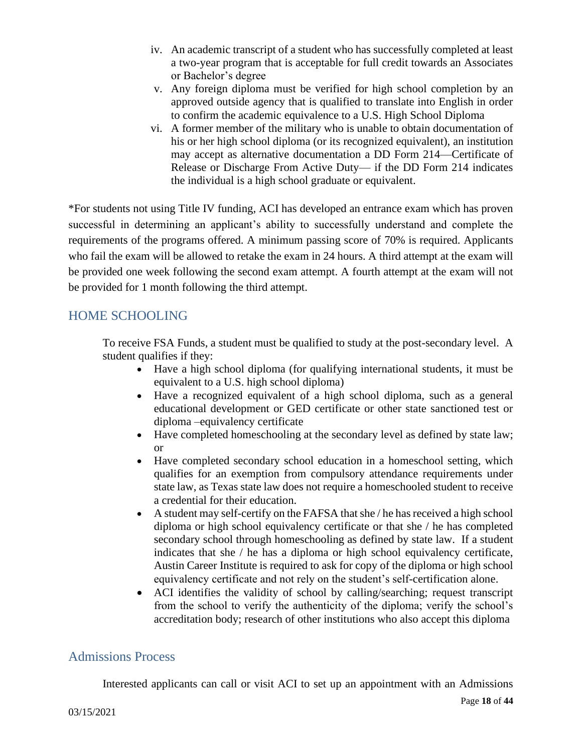- iv. An academic transcript of a student who has successfully completed at least a two-year program that is acceptable for full credit towards an Associates or Bachelor's degree
- v. Any foreign diploma must be verified for high school completion by an approved outside agency that is qualified to translate into English in order to confirm the academic equivalence to a U.S. High School Diploma
- vi. A former member of the military who is unable to obtain documentation of his or her high school diploma (or its recognized equivalent), an institution may accept as alternative documentation a DD Form 214—Certificate of Release or Discharge From Active Duty— if the DD Form 214 indicates the individual is a high school graduate or equivalent.

\*For students not using Title IV funding, ACI has developed an entrance exam which has proven successful in determining an applicant's ability to successfully understand and complete the requirements of the programs offered. A minimum passing score of 70% is required. Applicants who fail the exam will be allowed to retake the exam in 24 hours. A third attempt at the exam will be provided one week following the second exam attempt. A fourth attempt at the exam will not be provided for 1 month following the third attempt.

## HOME SCHOOLING

To receive FSA Funds, a student must be qualified to study at the post-secondary level. A student qualifies if they:

- Have a high school diploma (for qualifying international students, it must be equivalent to a U.S. high school diploma)
- Have a recognized equivalent of a high school diploma, such as a general educational development or GED certificate or other state sanctioned test or diploma –equivalency certificate
- Have completed homeschooling at the secondary level as defined by state law; or
- Have completed secondary school education in a homeschool setting, which qualifies for an exemption from compulsory attendance requirements under state law, as Texas state law does not require a homeschooled student to receive a credential for their education.
- A student may self-certify on the FAFSA that she / he has received a high school diploma or high school equivalency certificate or that she / he has completed secondary school through homeschooling as defined by state law. If a student indicates that she / he has a diploma or high school equivalency certificate, Austin Career Institute is required to ask for copy of the diploma or high school equivalency certificate and not rely on the student's self-certification alone.
- ACI identifies the validity of school by calling/searching; request transcript from the school to verify the authenticity of the diploma; verify the school's accreditation body; research of other institutions who also accept this diploma

## <span id="page-17-0"></span>Admissions Process

Interested applicants can call or visit ACI to set up an appointment with an Admissions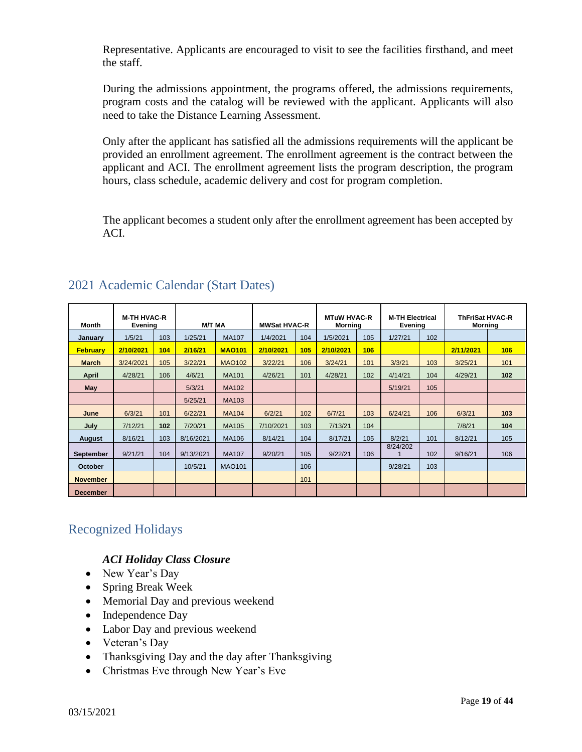Representative. Applicants are encouraged to visit to see the facilities firsthand, and meet the staff.

During the admissions appointment, the programs offered, the admissions requirements, program costs and the catalog will be reviewed with the applicant. Applicants will also need to take the Distance Learning Assessment.

Only after the applicant has satisfied all the admissions requirements will the applicant be provided an enrollment agreement. The enrollment agreement is the contract between the applicant and ACI. The enrollment agreement lists the program description, the program hours, class schedule, academic delivery and cost for program completion.

The applicant becomes a student only after the enrollment agreement has been accepted by ACI.

| Month            | <b>M-TH HVAC-R</b><br>Evening |     |           | <b>M/T MA</b> |           | <b>MTuW HVAC-R</b><br><b>MWSat HVAC-R</b><br><b>Morning</b> |           |     | <b>M-TH Electrical</b><br>Evening |     | <b>ThFriSat HVAC-R</b><br><b>Morning</b> |     |
|------------------|-------------------------------|-----|-----------|---------------|-----------|-------------------------------------------------------------|-----------|-----|-----------------------------------|-----|------------------------------------------|-----|
| January          | 1/5/21                        | 103 | 1/25/21   | <b>MA107</b>  | 1/4/2021  | 104                                                         | 1/5/2021  | 105 | 1/27/21                           | 102 |                                          |     |
| <b>February</b>  | 2/10/2021                     | 104 | 2/16/21   | <b>MA0101</b> | 2/10/2021 | 105                                                         | 2/10/2021 | 106 |                                   |     | 2/11/2021                                | 106 |
| <b>March</b>     | 3/24/2021                     | 105 | 3/22/21   | <b>MAO102</b> | 3/22/21   | 106                                                         | 3/24/21   | 101 | 3/3/21                            | 103 | 3/25/21                                  | 101 |
| April            | 4/28/21                       | 106 | 4/6/21    | <b>MA101</b>  | 4/26/21   | 101                                                         | 4/28/21   | 102 | 4/14/21                           | 104 | 4/29/21                                  | 102 |
| May              |                               |     | 5/3/21    | <b>MA102</b>  |           |                                                             |           |     | 5/19/21                           | 105 |                                          |     |
|                  |                               |     | 5/25/21   | MA103         |           |                                                             |           |     |                                   |     |                                          |     |
| June             | 6/3/21                        | 101 | 6/22/21   | <b>MA104</b>  | 6/2/21    | 102                                                         | 6/7/21    | 103 | 6/24/21                           | 106 | 6/3/21                                   | 103 |
| July             | 7/12/21                       | 102 | 7/20/21   | MA105         | 7/10/2021 | 103                                                         | 7/13/21   | 104 |                                   |     | 7/8/21                                   | 104 |
| August           | 8/16/21                       | 103 | 8/16/2021 | <b>MA106</b>  | 8/14/21   | 104                                                         | 8/17/21   | 105 | 8/2/21                            | 101 | 8/12/21                                  | 105 |
| <b>September</b> | 9/21/21                       | 104 | 9/13/2021 | <b>MA107</b>  | 9/20/21   | 105                                                         | 9/22/21   | 106 | 8/24/202                          | 102 | 9/16/21                                  | 106 |
| <b>October</b>   |                               |     | 10/5/21   | <b>MAO101</b> |           | 106                                                         |           |     | 9/28/21                           | 103 |                                          |     |
| <b>November</b>  |                               |     |           |               |           | 101                                                         |           |     |                                   |     |                                          |     |
| <b>December</b>  |                               |     |           |               |           |                                                             |           |     |                                   |     |                                          |     |

## <span id="page-18-0"></span>2021 Academic Calendar (Start Dates)

# Recognized Holidays

## *ACI Holiday Class Closure*

- New Year's Day
- Spring Break Week
- Memorial Day and previous weekend
- Independence Day
- Labor Day and previous weekend
- Veteran's Day
- Thanksgiving Day and the day after Thanksgiving
- Christmas Eve through New Year's Eve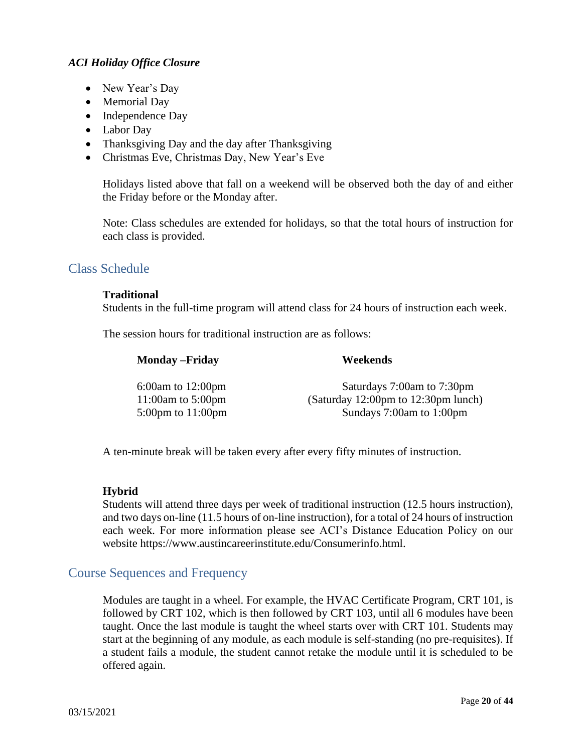## *ACI Holiday Office Closure*

- New Year's Day
- Memorial Day
- Independence Day
- Labor Day
- Thanksgiving Day and the day after Thanksgiving
- Christmas Eve, Christmas Day, New Year's Eve

Holidays listed above that fall on a weekend will be observed both the day of and either the Friday before or the Monday after.

Note: Class schedules are extended for holidays, so that the total hours of instruction for each class is provided.

## Class Schedule

#### **Traditional**

Students in the full-time program will attend class for 24 hours of instruction each week.

The session hours for traditional instruction are as follows:

**Monday –Friday Weekends**

| $6:00am$ to 12:00pm                   | Saturdays 7:00am to 7:30pm          |
|---------------------------------------|-------------------------------------|
| 11:00am to $5:00$ pm                  | (Saturday 12:00pm to 12:30pm lunch) |
| $5:00 \text{pm}$ to $11:00 \text{pm}$ | Sundays 7:00am to 1:00pm            |

A ten-minute break will be taken every after every fifty minutes of instruction.

#### **Hybrid**

Students will attend three days per week of traditional instruction (12.5 hours instruction), and two days on-line (11.5 hours of on-line instruction), for a total of 24 hours of instruction each week. For more information please see ACI's Distance Education Policy on our website https://www.austincareerinstitute.edu/Consumerinfo.html.

## Course Sequences and Frequency

Modules are taught in a wheel. For example, the HVAC Certificate Program, CRT 101, is followed by CRT 102, which is then followed by CRT 103, until all 6 modules have been taught. Once the last module is taught the wheel starts over with CRT 101. Students may start at the beginning of any module, as each module is self-standing (no pre-requisites). If a student fails a module, the student cannot retake the module until it is scheduled to be offered again.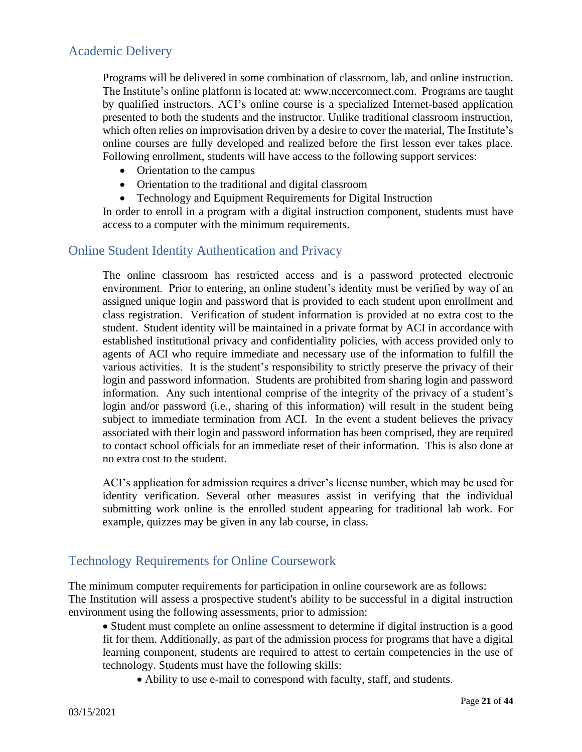## <span id="page-20-0"></span>Academic Delivery

Programs will be delivered in some combination of classroom, lab, and online instruction. The Institute's online platform is located at: www.nccerconnect.com. Programs are taught by qualified instructors. ACI's online course is a specialized Internet-based application presented to both the students and the instructor. Unlike traditional classroom instruction, which often relies on improvisation driven by a desire to cover the material, The Institute's online courses are fully developed and realized before the first lesson ever takes place. Following enrollment, students will have access to the following support services:

- Orientation to the campus
- Orientation to the traditional and digital classroom
- Technology and Equipment Requirements for Digital Instruction

In order to enroll in a program with a digital instruction component, students must have access to a computer with the minimum requirements.

## <span id="page-20-1"></span>Online Student Identity Authentication and Privacy

The online classroom has restricted access and is a password protected electronic environment. Prior to entering, an online student's identity must be verified by way of an assigned unique login and password that is provided to each student upon enrollment and class registration. Verification of student information is provided at no extra cost to the student. Student identity will be maintained in a private format by ACI in accordance with established institutional privacy and confidentiality policies, with access provided only to agents of ACI who require immediate and necessary use of the information to fulfill the various activities. It is the student's responsibility to strictly preserve the privacy of their login and password information. Students are prohibited from sharing login and password information. Any such intentional comprise of the integrity of the privacy of a student's login and/or password (i.e., sharing of this information) will result in the student being subject to immediate termination from ACI. In the event a student believes the privacy associated with their login and password information has been comprised, they are required to contact school officials for an immediate reset of their information. This is also done at no extra cost to the student.

ACI's application for admission requires a driver's license number, which may be used for identity verification. Several other measures assist in verifying that the individual submitting work online is the enrolled student appearing for traditional lab work. For example, quizzes may be given in any lab course, in class.

## <span id="page-20-2"></span>Technology Requirements for Online Coursework

The minimum computer requirements for participation in online coursework are as follows: The Institution will assess a prospective student's ability to be successful in a digital instruction environment using the following assessments, prior to admission:

• Student must complete an online assessment to determine if digital instruction is a good fit for them. Additionally, as part of the admission process for programs that have a digital learning component, students are required to attest to certain competencies in the use of technology. Students must have the following skills:

• Ability to use e-mail to correspond with faculty, staff, and students.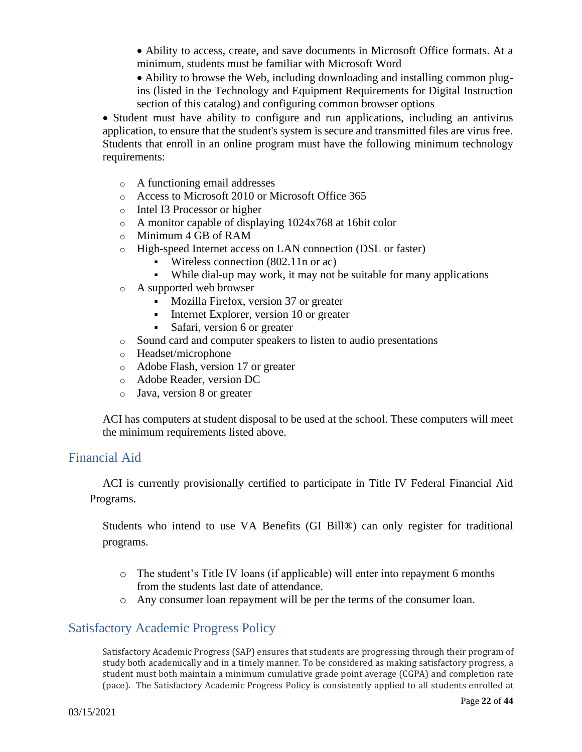• Ability to access, create, and save documents in Microsoft Office formats. At a minimum, students must be familiar with Microsoft Word

• Ability to browse the Web, including downloading and installing common plugins (listed in the Technology and Equipment Requirements for Digital Instruction section of this catalog) and configuring common browser options

• Student must have ability to configure and run applications, including an antivirus application, to ensure that the student's system is secure and transmitted files are virus free. Students that enroll in an online program must have the following minimum technology requirements:

- o A functioning email addresses
- o Access to Microsoft 2010 or Microsoft Office 365
- o Intel I3 Processor or higher
- o A monitor capable of displaying 1024x768 at 16bit color
- o Minimum 4 GB of RAM
- o High-speed Internet access on LAN connection (DSL or faster)
	- Wireless connection  $(802.11n \text{ or } ac)$
	- While dial-up may work, it may not be suitable for many applications
- o A supported web browser
	- Mozilla Firefox, version 37 or greater
	- Internet Explorer, version 10 or greater
	- Safari, version 6 or greater
- o Sound card and computer speakers to listen to audio presentations
- o Headset/microphone
- o Adobe Flash, version 17 or greater
- o Adobe Reader, version DC
- o Java, version 8 or greater

ACI has computers at student disposal to be used at the school. These computers will meet the minimum requirements listed above.

#### <span id="page-21-0"></span>Financial Aid

ACI is currently provisionally certified to participate in Title IV Federal Financial Aid Programs.

Students who intend to use VA Benefits (GI Bill®) can only register for traditional programs.

- o The student's Title IV loans (if applicable) will enter into repayment 6 months from the students last date of attendance.
- o Any consumer loan repayment will be per the terms of the consumer loan.

## <span id="page-21-1"></span>Satisfactory Academic Progress Policy

Satisfactory Academic Progress (SAP) ensures that students are progressing through their program of study both academically and in a timely manner. To be considered as making satisfactory progress, a student must both maintain a minimum cumulative grade point average (CGPA) and completion rate (pace). The Satisfactory Academic Progress Policy is consistently applied to all students enrolled at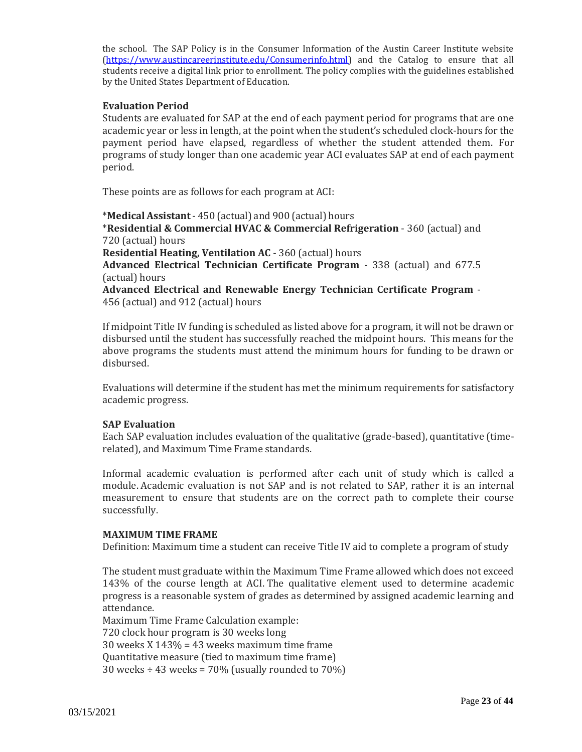the school. The SAP Policy is in the Consumer Information of the Austin Career Institute website [\(https://www.austincareerinstitute.edu/Consumerinfo.html\)](https://www.austincareerinstitute.edu/Consumerinfo.html) and the Catalog to ensure that all students receive a digital link prior to enrollment. The policy complies with the guidelines established by the United States Department of Education.

#### **Evaluation Period**

Students are evaluated for SAP at the end of each payment period for programs that are one academic year or less in length, at the point when the student's scheduled clock-hours for the payment period have elapsed, regardless of whether the student attended them. For programs of study longer than one academic year ACI evaluates SAP at end of each payment period.

These points are as follows for each program at ACI:

\***Medical Assistant**- 450 (actual) and 900 (actual) hours \***Residential & Commercial HVAC & Commercial Refrigeration** - 360 (actual) and 720 (actual) hours **Residential Heating, Ventilation AC** - 360 (actual) hours **Advanced Electrical Technician Certificate Program** - 338 (actual) and 677.5 (actual) hours **Advanced Electrical and Renewable Energy Technician Certificate Program** - 456 (actual) and 912 (actual) hours

If midpoint Title IV funding is scheduled as listed above for a program, it will not be drawn or disbursed until the student has successfully reached the midpoint hours. This means for the above programs the students must attend the minimum hours for funding to be drawn or disbursed.

Evaluations will determine if the student has met the minimum requirements for satisfactory academic progress.

#### **SAP Evaluation**

Each SAP evaluation includes evaluation of the qualitative (grade-based), quantitative (timerelated), and Maximum Time Frame standards.

Informal academic evaluation is performed after each unit of study which is called a module. Academic evaluation is not SAP and is not related to SAP, rather it is an internal measurement to ensure that students are on the correct path to complete their course successfully.

#### **MAXIMUM TIME FRAME**

Definition: Maximum time a student can receive Title IV aid to complete a program of study

The student must graduate within the Maximum Time Frame allowed which does not exceed 143% of the course length at ACI. The qualitative element used to determine academic progress is a reasonable system of grades as determined by assigned academic learning and attendance.

Maximum Time Frame Calculation example: 720 clock hour program is 30 weeks long 30 weeks X 143% = 43 weeks maximum time frame Quantitative measure (tied to maximum time frame) 30 weeks  $\div$  43 weeks = 70% (usually rounded to 70%)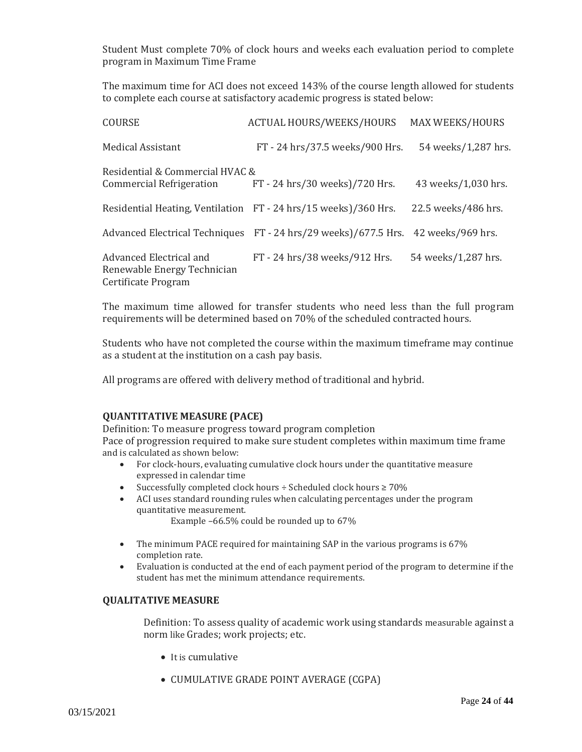Student Must complete 70% of clock hours and weeks each evaluation period to complete program in Maximum Time Frame

The maximum time for ACI does not exceed 143% of the course length allowed for students to complete each course at satisfactory academic progress is stated below:

| <b>COURSE</b>                                                                 | <b>ACTUAL HOURS/WEEKS/HOURS</b>                                                   | <b>MAX WEEKS/HOURS</b> |
|-------------------------------------------------------------------------------|-----------------------------------------------------------------------------------|------------------------|
| <b>Medical Assistant</b>                                                      | FT - 24 hrs/37.5 weeks/900 Hrs.                                                   | 54 weeks/1,287 hrs.    |
| Residential & Commercial HVAC &<br>Commercial Refrigeration                   | FT - 24 hrs/30 weeks)/720 Hrs.                                                    | 43 weeks/1,030 hrs.    |
|                                                                               | Residential Heating, Ventilation FT - 24 hrs/15 weeks)/360 Hrs.                   | 22.5 weeks/486 hrs.    |
|                                                                               | Advanced Electrical Techniques FT - 24 hrs/29 weeks)/677.5 Hrs. 42 weeks/969 hrs. |                        |
| Advanced Electrical and<br>Renewable Energy Technician<br>Certificate Program | FT - 24 hrs/38 weeks/912 Hrs.                                                     | 54 weeks/1,287 hrs.    |

The maximum time allowed for transfer students who need less than the full program requirements will be determined based on 70% of the scheduled contracted hours.

Students who have not completed the course within the maximum timeframe may continue as a student at the institution on a cash pay basis.

All programs are offered with delivery method of traditional and hybrid.

#### **QUANTITATIVE MEASURE (PACE)**

Definition: To measure progress toward program completion Pace of progression required to make sure student completes within maximum time frame and is calculated as shown below:

- For clock-hours, evaluating cumulative clock hours under the quantitative measure expressed in calendar time
- Successfully completed clock hours ÷ Scheduled clock hours ≥ 70%
- ACI uses standard rounding rules when calculating percentages under the program quantitative measurement.

Example –66.5% could be rounded up to 67%

- The minimum PACE required for maintaining SAP in the various programs is 67% completion rate.
- Evaluation is conducted at the end of each payment period of the program to determine if the student has met the minimum attendance requirements.

#### **QUALITATIVE MEASURE**

Definition: To assess quality of academic work using standards measurable against a norm like Grades; work projects; etc.

- It is cumulative
- CUMULATIVE GRADE POINT AVERAGE (CGPA)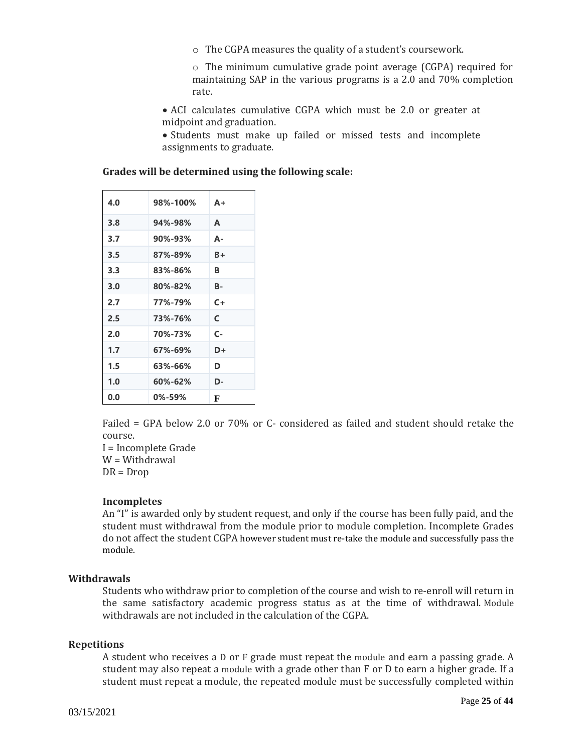o The CGPA measures the quality of a student's coursework.

o The minimum cumulative grade point average (CGPA) required for maintaining SAP in the various programs is a 2.0 and 70% completion rate.

- ACI calculates cumulative CGPA which must be 2.0 or greater at midpoint and graduation.
- Students must make up failed or missed tests and incomplete assignments to graduate.

#### **Grades will be determined using the following scale:**

| 4.0 | 98%-100%      | $A +$ |
|-----|---------------|-------|
| 3.8 | 94%-98%       | A     |
| 3.7 | $90\% - 93\%$ | А-    |
| 3.5 | 87%-89%       | $B+$  |
| 3.3 | 83%-86%       | R     |
| 3.0 | 80%-82%       | в-    |
| 2.7 | 77%-79%       | $C+$  |
| 2.5 | 73%-76%       | C     |
| 2.0 | 70%-73%       | С-    |
| 1.7 | 67%-69%       | D+    |
| 1.5 | 63%-66%       | D     |
| 1.0 | 60%-62%       | D-    |
| 0.0 | 0%-59%        | F     |

Failed = GPA below 2.0 or 70% or C- considered as failed and student should retake the course.

I = Incomplete Grade W = Withdrawal DR = Drop

#### **Incompletes**

An "I" is awarded only by student request, and only if the course has been fully paid, and the student must withdrawal from the module prior to module completion. Incomplete Grades do not affect the student CGPA however student must re-take the module and successfully pass the module.

#### **Withdrawals**

Students who withdraw prior to completion of the course and wish to re-enroll will return in the same satisfactory academic progress status as at the time of withdrawal. Module withdrawals are not included in the calculation of the CGPA.

#### **Repetitions**

A student who receives a D or F grade must repeat the module and earn a passing grade. A student may also repeat a module with a grade other than F or D to earn a higher grade. If a student must repeat a module, the repeated module must be successfully completed within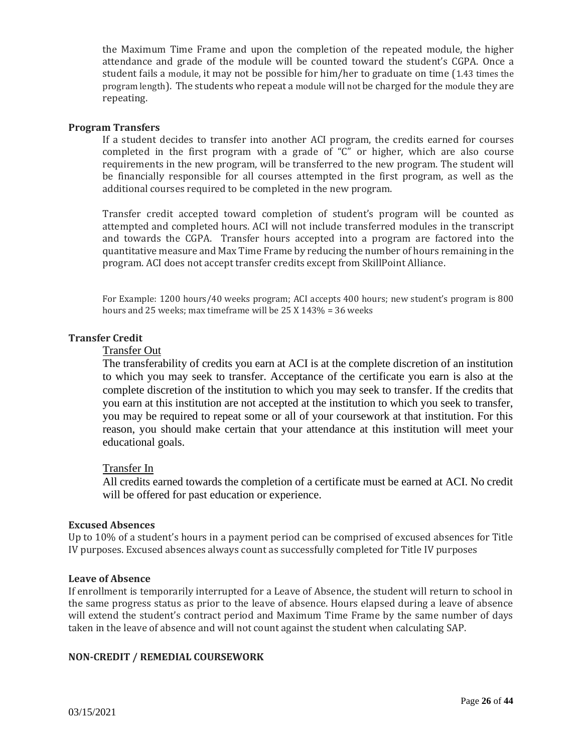the Maximum Time Frame and upon the completion of the repeated module, the higher attendance and grade of the module will be counted toward the student's CGPA. Once a student fails a module, it may not be possible for him/her to graduate on time (1.43 times the program length). The students who repeat a module will not be charged for the module they are repeating.

#### **Program Transfers**

If a student decides to transfer into another ACI program, the credits earned for courses completed in the first program with a grade of "C" or higher, which are also course requirements in the new program, will be transferred to the new program. The student will be financially responsible for all courses attempted in the first program, as well as the additional courses required to be completed in the new program.

Transfer credit accepted toward completion of student's program will be counted as attempted and completed hours. ACI will not include transferred modules in the transcript and towards the CGPA. Transfer hours accepted into a program are factored into the quantitative measure and Max Time Frame by reducing the number of hours remaining in the program. ACI does not accept transfer credits except from SkillPoint Alliance.

For Example: 1200 hours/40 weeks program; ACI accepts 400 hours; new student's program is 800 hours and 25 weeks; max timeframe will be 25 X 143% = 36 weeks

#### **Transfer Credit**

#### Transfer Out

The transferability of credits you earn at ACI is at the complete discretion of an institution to which you may seek to transfer. Acceptance of the certificate you earn is also at the complete discretion of the institution to which you may seek to transfer. If the credits that you earn at this institution are not accepted at the institution to which you seek to transfer, you may be required to repeat some or all of your coursework at that institution. For this reason, you should make certain that your attendance at this institution will meet your educational goals.

#### Transfer In

All credits earned towards the completion of a certificate must be earned at ACI. No credit will be offered for past education or experience.

#### **Excused Absences**

Up to 10% of a student's hours in a payment period can be comprised of excused absences for Title IV purposes. Excused absences always count as successfully completed for Title IV purposes

#### **Leave of Absence**

If enrollment is temporarily interrupted for a Leave of Absence, the student will return to school in the same progress status as prior to the leave of absence. Hours elapsed during a leave of absence will extend the student's contract period and Maximum Time Frame by the same number of days taken in the leave of absence and will not count against the student when calculating SAP.

#### **NON-CREDIT / REMEDIAL COURSEWORK**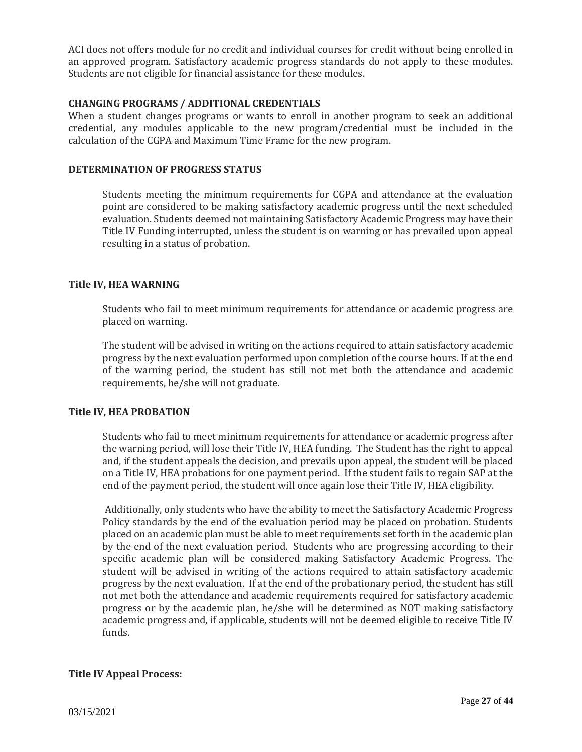ACI does not offers module for no credit and individual courses for credit without being enrolled in an approved program. Satisfactory academic progress standards do not apply to these modules. Students are not eligible for financial assistance for these modules.

#### **CHANGING PROGRAMS / ADDITIONAL CREDENTIALS**

When a student changes programs or wants to enroll in another program to seek an additional credential, any modules applicable to the new program/credential must be included in the calculation of the CGPA and Maximum Time Frame for the new program.

#### **DETERMINATION OF PROGRESS STATUS**

Students meeting the minimum requirements for CGPA and attendance at the evaluation point are considered to be making satisfactory academic progress until the next scheduled evaluation. Students deemed not maintaining Satisfactory Academic Progress may have their Title IV Funding interrupted, unless the student is on warning or has prevailed upon appeal resulting in a status of probation.

#### **Title IV, HEA WARNING**

Students who fail to meet minimum requirements for attendance or academic progress are placed on warning.

The student will be advised in writing on the actions required to attain satisfactory academic progress by the next evaluation performed upon completion of the course hours. If at the end of the warning period, the student has still not met both the attendance and academic requirements, he/she will not graduate.

#### **Title IV, HEA PROBATION**

Students who fail to meet minimum requirements for attendance or academic progress after the warning period, will lose their Title IV, HEA funding. The Student has the right to appeal and, if the student appeals the decision, and prevails upon appeal, the student will be placed on a Title IV, HEA probations for one payment period. If the student fails to regain SAP at the end of the payment period, the student will once again lose their Title IV, HEA eligibility.

Additionally, only students who have the ability to meet the Satisfactory Academic Progress Policy standards by the end of the evaluation period may be placed on probation. Students placed on an academic plan must be able to meet requirements set forth in the academic plan by the end of the next evaluation period. Students who are progressing according to their specific academic plan will be considered making Satisfactory Academic Progress. The student will be advised in writing of the actions required to attain satisfactory academic progress by the next evaluation. If at the end of the probationary period, the student has still not met both the attendance and academic requirements required for satisfactory academic progress or by the academic plan, he/she will be determined as NOT making satisfactory academic progress and, if applicable, students will not be deemed eligible to receive Title IV funds.

#### **Title IV Appeal Process:**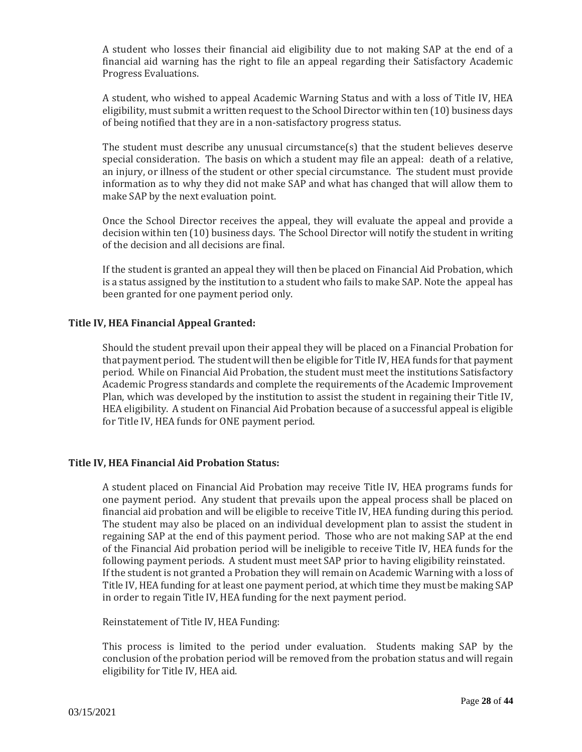A student who losses their financial aid eligibility due to not making SAP at the end of a financial aid warning has the right to file an appeal regarding their Satisfactory Academic Progress Evaluations.

A student, who wished to appeal Academic Warning Status and with a loss of Title IV, HEA eligibility, must submit a written request to the School Director within ten (10) business days of being notified that they are in a non-satisfactory progress status.

The student must describe any unusual circumstance(s) that the student believes deserve special consideration. The basis on which a student may file an appeal: death of a relative, an injury, or illness of the student or other special circumstance. The student must provide information as to why they did not make SAP and what has changed that will allow them to make SAP by the next evaluation point.

Once the School Director receives the appeal, they will evaluate the appeal and provide a decision within ten (10) business days. The School Director will notify the student in writing of the decision and all decisions are final.

If the student is granted an appeal they will then be placed on Financial Aid Probation, which is a status assigned by the institution to a student who fails to make SAP. Note the appeal has been granted for one payment period only.

#### **Title IV, HEA Financial Appeal Granted:**

Should the student prevail upon their appeal they will be placed on a Financial Probation for that payment period. The student will then be eligible for Title IV, HEA funds for that payment period. While on Financial Aid Probation, the student must meet the institutions Satisfactory Academic Progress standards and complete the requirements of the Academic Improvement Plan, which was developed by the institution to assist the student in regaining their Title IV, HEA eligibility. A student on Financial Aid Probation because of a successful appeal is eligible for Title IV, HEA funds for ONE payment period.

#### **Title IV, HEA Financial Aid Probation Status:**

A student placed on Financial Aid Probation may receive Title IV, HEA programs funds for one payment period. Any student that prevails upon the appeal process shall be placed on financial aid probation and will be eligible to receive Title IV, HEA funding during this period. The student may also be placed on an individual development plan to assist the student in regaining SAP at the end of this payment period. Those who are not making SAP at the end of the Financial Aid probation period will be ineligible to receive Title IV, HEA funds for the following payment periods. A student must meet SAP prior to having eligibility reinstated. If the student is not granted a Probation they will remain on Academic Warning with a loss of Title IV, HEA funding for at least one payment period, at which time they must be making SAP in order to regain Title IV, HEA funding for the next payment period.

Reinstatement of Title IV, HEA Funding:

This process is limited to the period under evaluation. Students making SAP by the conclusion of the probation period will be removed from the probation status and will regain eligibility for Title IV, HEA aid.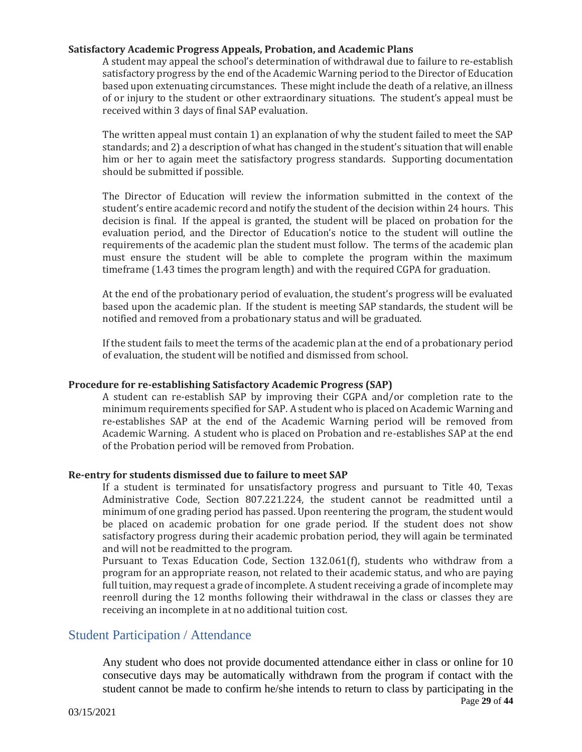#### **Satisfactory Academic Progress Appeals, Probation, and Academic Plans**

A student may appeal the school's determination of withdrawal due to failure to re-establish satisfactory progress by the end of the Academic Warning period to the Director of Education based upon extenuating circumstances. These might include the death of a relative, an illness of or injury to the student or other extraordinary situations. The student's appeal must be received within 3 days of final SAP evaluation.

The written appeal must contain 1) an explanation of why the student failed to meet the SAP standards; and 2) a description of what has changed in the student's situation that will enable him or her to again meet the satisfactory progress standards. Supporting documentation should be submitted if possible.

The Director of Education will review the information submitted in the context of the student's entire academic record and notify the student of the decision within 24 hours. This decision is final. If the appeal is granted, the student will be placed on probation for the evaluation period, and the Director of Education's notice to the student will outline the requirements of the academic plan the student must follow. The terms of the academic plan must ensure the student will be able to complete the program within the maximum timeframe (1.43 times the program length) and with the required CGPA for graduation.

At the end of the probationary period of evaluation, the student's progress will be evaluated based upon the academic plan. If the student is meeting SAP standards, the student will be notified and removed from a probationary status and will be graduated.

If the student fails to meet the terms of the academic plan at the end of a probationary period of evaluation, the student will be notified and dismissed from school.

#### **Procedure for re-establishing Satisfactory Academic Progress (SAP)**

A student can re-establish SAP by improving their CGPA and/or completion rate to the minimum requirements specified for SAP. A student who is placed on Academic Warning and re-establishes SAP at the end of the Academic Warning period will be removed from Academic Warning. A student who is placed on Probation and re-establishes SAP at the end of the Probation period will be removed from Probation.

#### **Re-entry for students dismissed due to failure to meet SAP**

If a student is terminated for unsatisfactory progress and pursuant to Title 40, Texas Administrative Code, Section 807.221.224, the student cannot be readmitted until a minimum of one grading period has passed. Upon reentering the program, the student would be placed on academic probation for one grade period. If the student does not show satisfactory progress during their academic probation period, they will again be terminated and will not be readmitted to the program.

Pursuant to Texas Education Code, Section 132.061(f), students who withdraw from a program for an appropriate reason, not related to their academic status, and who are paying full tuition, may request a grade of incomplete. A student receiving a grade of incomplete may reenroll during the 12 months following their withdrawal in the class or classes they are receiving an incomplete in at no additional tuition cost.

## <span id="page-28-0"></span>Student Participation / Attendance

 Page **29** of **44** Any student who does not provide documented attendance either in class or online for 10 consecutive days may be automatically withdrawn from the program if contact with the student cannot be made to confirm he/she intends to return to class by participating in the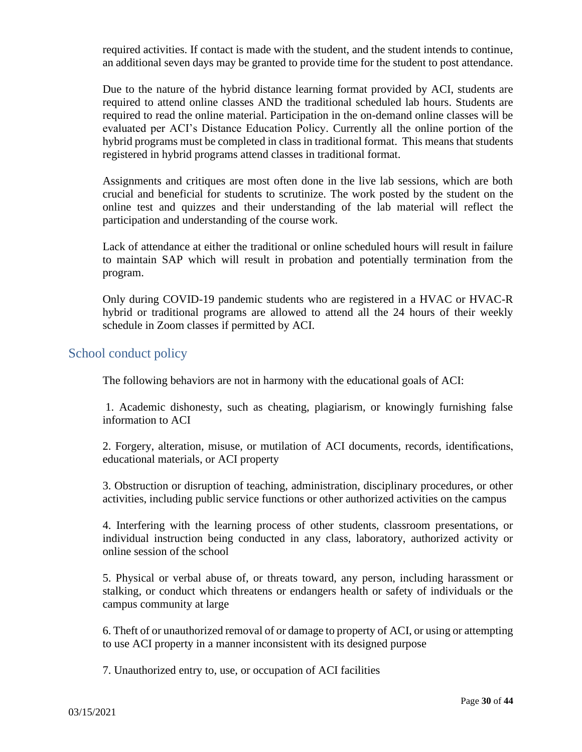required activities. If contact is made with the student, and the student intends to continue, an additional seven days may be granted to provide time for the student to post attendance.

Due to the nature of the hybrid distance learning format provided by ACI, students are required to attend online classes AND the traditional scheduled lab hours. Students are required to read the online material. Participation in the on-demand online classes will be evaluated per ACI's Distance Education Policy. Currently all the online portion of the hybrid programs must be completed in class in traditional format. This means that students registered in hybrid programs attend classes in traditional format.

Assignments and critiques are most often done in the live lab sessions, which are both crucial and beneficial for students to scrutinize. The work posted by the student on the online test and quizzes and their understanding of the lab material will reflect the participation and understanding of the course work.

Lack of attendance at either the traditional or online scheduled hours will result in failure to maintain SAP which will result in probation and potentially termination from the program.

Only during COVID-19 pandemic students who are registered in a HVAC or HVAC-R hybrid or traditional programs are allowed to attend all the 24 hours of their weekly schedule in Zoom classes if permitted by ACI.

## <span id="page-29-0"></span>School conduct policy

The following behaviors are not in harmony with the educational goals of ACI:

1. Academic dishonesty, such as cheating, plagiarism, or knowingly furnishing false information to ACI

2. Forgery, alteration, misuse, or mutilation of ACI documents, records, identifications, educational materials, or ACI property

3. Obstruction or disruption of teaching, administration, disciplinary procedures, or other activities, including public service functions or other authorized activities on the campus

4. Interfering with the learning process of other students, classroom presentations, or individual instruction being conducted in any class, laboratory, authorized activity or online session of the school

5. Physical or verbal abuse of, or threats toward, any person, including harassment or stalking, or conduct which threatens or endangers health or safety of individuals or the campus community at large

6. Theft of or unauthorized removal of or damage to property of ACI, or using or attempting to use ACI property in a manner inconsistent with its designed purpose

7. Unauthorized entry to, use, or occupation of ACI facilities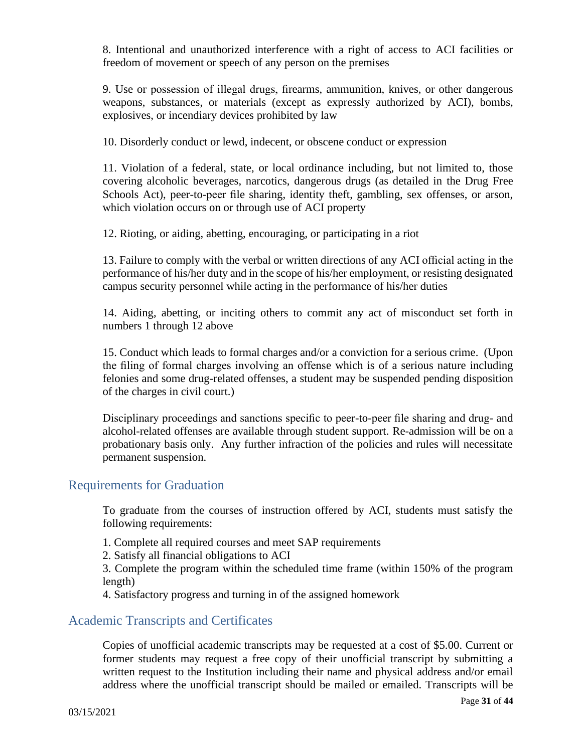8. Intentional and unauthorized interference with a right of access to ACI facilities or freedom of movement or speech of any person on the premises

9. Use or possession of illegal drugs, firearms, ammunition, knives, or other dangerous weapons, substances, or materials (except as expressly authorized by ACI), bombs, explosives, or incendiary devices prohibited by law

10. Disorderly conduct or lewd, indecent, or obscene conduct or expression

11. Violation of a federal, state, or local ordinance including, but not limited to, those covering alcoholic beverages, narcotics, dangerous drugs (as detailed in the Drug Free Schools Act), peer-to-peer file sharing, identity theft, gambling, sex offenses, or arson, which violation occurs on or through use of ACI property

12. Rioting, or aiding, abetting, encouraging, or participating in a riot

13. Failure to comply with the verbal or written directions of any ACI official acting in the performance of his/her duty and in the scope of his/her employment, or resisting designated campus security personnel while acting in the performance of his/her duties

14. Aiding, abetting, or inciting others to commit any act of misconduct set forth in numbers 1 through 12 above

15. Conduct which leads to formal charges and/or a conviction for a serious crime. (Upon the filing of formal charges involving an offense which is of a serious nature including felonies and some drug-related offenses, a student may be suspended pending disposition of the charges in civil court.)

Disciplinary proceedings and sanctions specific to peer-to-peer file sharing and drug- and alcohol-related offenses are available through student support. Re-admission will be on a probationary basis only. Any further infraction of the policies and rules will necessitate permanent suspension.

## <span id="page-30-0"></span>Requirements for Graduation

To graduate from the courses of instruction offered by ACI, students must satisfy the following requirements:

1. Complete all required courses and meet SAP requirements

2. Satisfy all financial obligations to ACI

3. Complete the program within the scheduled time frame (within 150% of the program length)

4. Satisfactory progress and turning in of the assigned homework

## <span id="page-30-1"></span>Academic Transcripts and Certificates

Copies of unofficial academic transcripts may be requested at a cost of \$5.00. Current or former students may request a free copy of their unofficial transcript by submitting a written request to the Institution including their name and physical address and/or email address where the unofficial transcript should be mailed or emailed. Transcripts will be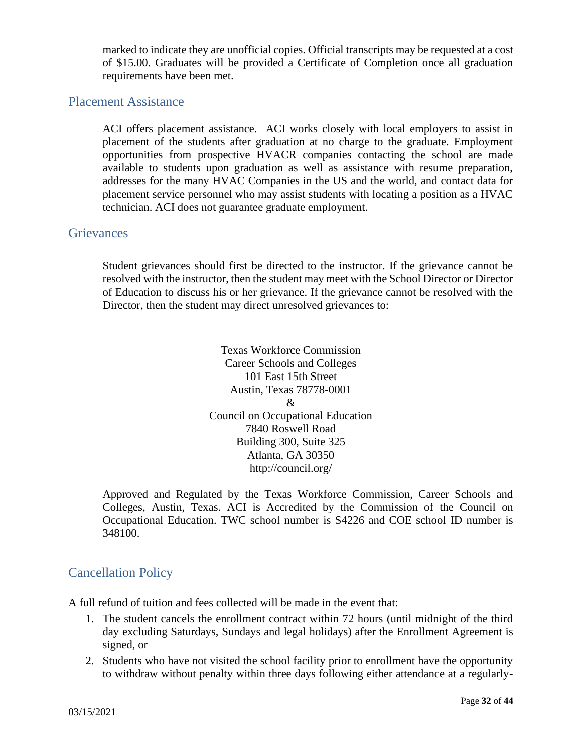marked to indicate they are unofficial copies. Official transcripts may be requested at a cost of \$15.00. Graduates will be provided a Certificate of Completion once all graduation requirements have been met.

## <span id="page-31-0"></span>Placement Assistance

ACI offers placement assistance. ACI works closely with local employers to assist in placement of the students after graduation at no charge to the graduate. Employment opportunities from prospective HVACR companies contacting the school are made available to students upon graduation as well as assistance with resume preparation, addresses for the many HVAC Companies in the US and the world, and contact data for placement service personnel who may assist students with locating a position as a HVAC technician. ACI does not guarantee graduate employment.

## <span id="page-31-1"></span>**Grievances**

Student grievances should first be directed to the instructor. If the grievance cannot be resolved with the instructor, then the student may meet with the School Director or Director of Education to discuss his or her grievance. If the grievance cannot be resolved with the Director, then the student may direct unresolved grievances to:

> Texas Workforce Commission Career Schools and Colleges 101 East 15th Street Austin, Texas 78778-0001 & Council on Occupational Education 7840 Roswell Road Building 300, Suite 325 Atlanta, GA 30350 http://council.org/

Approved and Regulated by the Texas Workforce Commission, Career Schools and Colleges, Austin, Texas. ACI is Accredited by the Commission of the Council on Occupational Education. TWC school number is S4226 and COE school ID number is 348100.

## <span id="page-31-2"></span>Cancellation Policy

A full refund of tuition and fees collected will be made in the event that:

- 1. The student cancels the enrollment contract within 72 hours (until midnight of the third day excluding Saturdays, Sundays and legal holidays) after the Enrollment Agreement is signed, or
- 2. Students who have not visited the school facility prior to enrollment have the opportunity to withdraw without penalty within three days following either attendance at a regularly-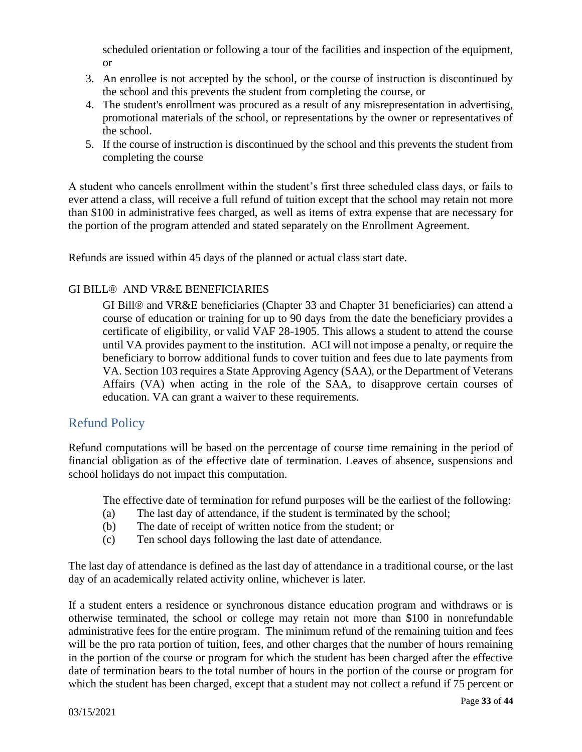scheduled orientation or following a tour of the facilities and inspection of the equipment, or

- 3. An enrollee is not accepted by the school, or the course of instruction is discontinued by the school and this prevents the student from completing the course, or
- 4. The student's enrollment was procured as a result of any misrepresentation in advertising, promotional materials of the school, or representations by the owner or representatives of the school.
- 5. If the course of instruction is discontinued by the school and this prevents the student from completing the course

A student who cancels enrollment within the student's first three scheduled class days, or fails to ever attend a class, will receive a full refund of tuition except that the school may retain not more than \$100 in administrative fees charged, as well as items of extra expense that are necessary for the portion of the program attended and stated separately on the Enrollment Agreement.

Refunds are issued within 45 days of the planned or actual class start date.

## GI BILL® AND VR&E BENEFICIARIES

GI Bill® and VR&E beneficiaries (Chapter 33 and Chapter 31 beneficiaries) can attend a course of education or training for up to 90 days from the date the beneficiary provides a certificate of eligibility, or valid VAF 28-1905. This allows a student to attend the course until VA provides payment to the institution. ACI will not impose a penalty, or require the beneficiary to borrow additional funds to cover tuition and fees due to late payments from VA. Section 103 requires a State Approving Agency (SAA), or the Department of Veterans Affairs (VA) when acting in the role of the SAA, to disapprove certain courses of education. VA can grant a waiver to these requirements.

## <span id="page-32-0"></span>Refund Policy

Refund computations will be based on the percentage of course time remaining in the period of financial obligation as of the effective date of termination. Leaves of absence, suspensions and school holidays do not impact this computation.

The effective date of termination for refund purposes will be the earliest of the following:

- (a) The last day of attendance, if the student is terminated by the school;
- (b) The date of receipt of written notice from the student; or
- (c) Ten school days following the last date of attendance.

The last day of attendance is defined as the last day of attendance in a traditional course, or the last day of an academically related activity online, whichever is later.

If a student enters a residence or synchronous distance education program and withdraws or is otherwise terminated, the school or college may retain not more than \$100 in nonrefundable administrative fees for the entire program. The minimum refund of the remaining tuition and fees will be the pro rata portion of tuition, fees, and other charges that the number of hours remaining in the portion of the course or program for which the student has been charged after the effective date of termination bears to the total number of hours in the portion of the course or program for which the student has been charged, except that a student may not collect a refund if 75 percent or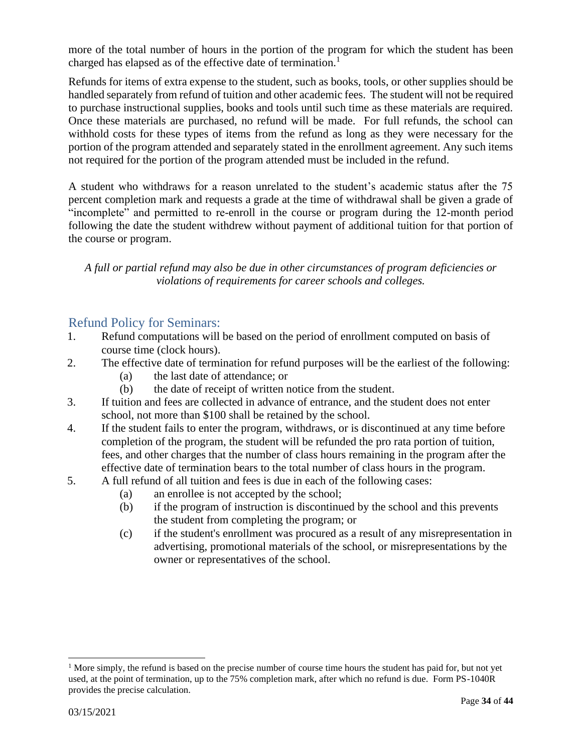more of the total number of hours in the portion of the program for which the student has been charged has elapsed as of the effective date of termination.<sup>1</sup>

Refunds for items of extra expense to the student, such as books, tools, or other supplies should be handled separately from refund of tuition and other academic fees. The student will not be required to purchase instructional supplies, books and tools until such time as these materials are required. Once these materials are purchased, no refund will be made. For full refunds, the school can withhold costs for these types of items from the refund as long as they were necessary for the portion of the program attended and separately stated in the enrollment agreement. Any such items not required for the portion of the program attended must be included in the refund.

A student who withdraws for a reason unrelated to the student's academic status after the 75 percent completion mark and requests a grade at the time of withdrawal shall be given a grade of "incomplete" and permitted to re-enroll in the course or program during the 12-month period following the date the student withdrew without payment of additional tuition for that portion of the course or program.

*A full or partial refund may also be due in other circumstances of program deficiencies or violations of requirements for career schools and colleges.*

## Refund Policy for Seminars:

- 1. Refund computations will be based on the period of enrollment computed on basis of course time (clock hours).
- 2. The effective date of termination for refund purposes will be the earliest of the following:
	- (a) the last date of attendance; or
	- (b) the date of receipt of written notice from the student.
- 3. If tuition and fees are collected in advance of entrance, and the student does not enter school, not more than \$100 shall be retained by the school.
- 4. If the student fails to enter the program, withdraws, or is discontinued at any time before completion of the program, the student will be refunded the pro rata portion of tuition, fees, and other charges that the number of class hours remaining in the program after the effective date of termination bears to the total number of class hours in the program.
- 5. A full refund of all tuition and fees is due in each of the following cases:
	- (a) an enrollee is not accepted by the school;
	- (b) if the program of instruction is discontinued by the school and this prevents the student from completing the program; or
	- (c) if the student's enrollment was procured as a result of any misrepresentation in advertising, promotional materials of the school, or misrepresentations by the owner or representatives of the school.

 $<sup>1</sup>$  More simply, the refund is based on the precise number of course time hours the student has paid for, but not yet</sup> used, at the point of termination, up to the 75% completion mark, after which no refund is due. Form PS-1040R provides the precise calculation.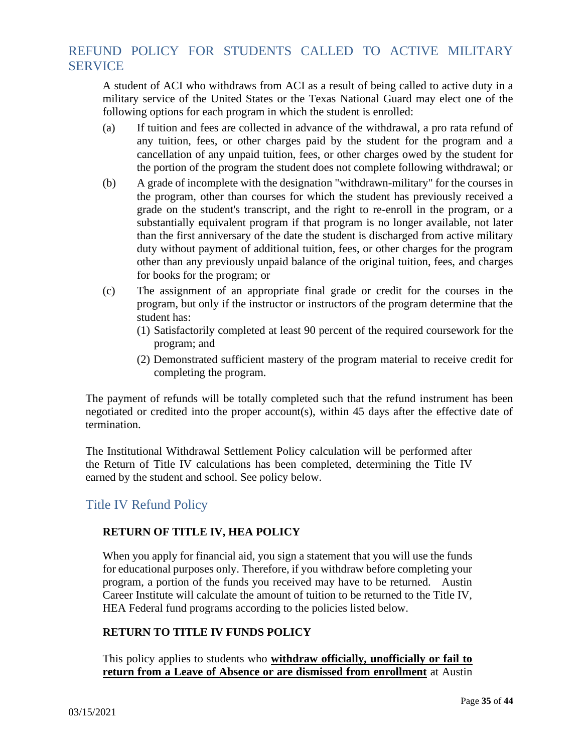# REFUND POLICY FOR STUDENTS CALLED TO ACTIVE MILITARY SERVICE

A student of ACI who withdraws from ACI as a result of being called to active duty in a military service of the United States or the Texas National Guard may elect one of the following options for each program in which the student is enrolled:

- (a) If tuition and fees are collected in advance of the withdrawal, a pro rata refund of any tuition, fees, or other charges paid by the student for the program and a cancellation of any unpaid tuition, fees, or other charges owed by the student for the portion of the program the student does not complete following withdrawal; or
- (b) A grade of incomplete with the designation "withdrawn-military" for the courses in the program, other than courses for which the student has previously received a grade on the student's transcript, and the right to re-enroll in the program, or a substantially equivalent program if that program is no longer available, not later than the first anniversary of the date the student is discharged from active military duty without payment of additional tuition, fees, or other charges for the program other than any previously unpaid balance of the original tuition, fees, and charges for books for the program; or
- (c) The assignment of an appropriate final grade or credit for the courses in the program, but only if the instructor or instructors of the program determine that the student has:
	- (1) Satisfactorily completed at least 90 percent of the required coursework for the program; and
	- (2) Demonstrated sufficient mastery of the program material to receive credit for completing the program.

The payment of refunds will be totally completed such that the refund instrument has been negotiated or credited into the proper account(s), within 45 days after the effective date of termination.

The Institutional Withdrawal Settlement Policy calculation will be performed after the Return of Title IV calculations has been completed, determining the Title IV earned by the student and school. See policy below.

## Title IV Refund Policy

## **RETURN OF TITLE IV, HEA POLICY**

When you apply for financial aid, you sign a statement that you will use the funds for educational purposes only. Therefore, if you withdraw before completing your program, a portion of the funds you received may have to be returned. Austin Career Institute will calculate the amount of tuition to be returned to the Title IV, HEA Federal fund programs according to the policies listed below.

## **RETURN TO TITLE IV FUNDS POLICY**

This policy applies to students who **withdraw officially, unofficially or fail to return from a Leave of Absence or are dismissed from enrollment** at Austin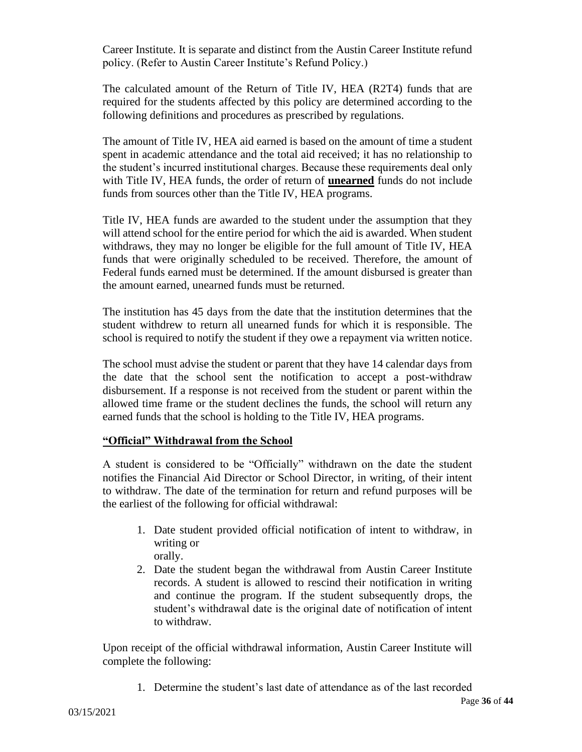Career Institute. It is separate and distinct from the Austin Career Institute refund policy. (Refer to Austin Career Institute's Refund Policy.)

The calculated amount of the Return of Title IV, HEA (R2T4) funds that are required for the students affected by this policy are determined according to the following definitions and procedures as prescribed by regulations.

The amount of Title IV, HEA aid earned is based on the amount of time a student spent in academic attendance and the total aid received; it has no relationship to the student's incurred institutional charges. Because these requirements deal only with Title IV, HEA funds, the order of return of **unearned** funds do not include funds from sources other than the Title IV, HEA programs.

Title IV, HEA funds are awarded to the student under the assumption that they will attend school for the entire period for which the aid is awarded. When student withdraws, they may no longer be eligible for the full amount of Title IV, HEA funds that were originally scheduled to be received. Therefore, the amount of Federal funds earned must be determined. If the amount disbursed is greater than the amount earned, unearned funds must be returned.

The institution has 45 days from the date that the institution determines that the student withdrew to return all unearned funds for which it is responsible. The school is required to notify the student if they owe a repayment via written notice.

The school must advise the student or parent that they have 14 calendar days from the date that the school sent the notification to accept a post-withdraw disbursement. If a response is not received from the student or parent within the allowed time frame or the student declines the funds, the school will return any earned funds that the school is holding to the Title IV, HEA programs.

## **"Official" Withdrawal from the School**

A student is considered to be "Officially" withdrawn on the date the student notifies the Financial Aid Director or School Director, in writing, of their intent to withdraw. The date of the termination for return and refund purposes will be the earliest of the following for official withdrawal:

- 1. Date student provided official notification of intent to withdraw, in writing or orally.
- 2. Date the student began the withdrawal from Austin Career Institute records. A student is allowed to rescind their notification in writing and continue the program. If the student subsequently drops, the student's withdrawal date is the original date of notification of intent to withdraw.

Upon receipt of the official withdrawal information, Austin Career Institute will complete the following:

1. Determine the student's last date of attendance as of the last recorded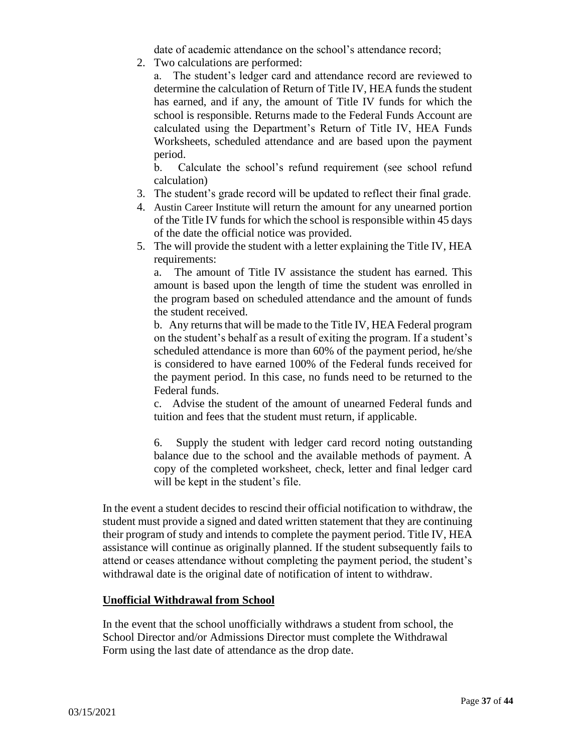date of academic attendance on the school's attendance record;

2. Two calculations are performed:

a. The student's ledger card and attendance record are reviewed to determine the calculation of Return of Title IV, HEA funds the student has earned, and if any, the amount of Title IV funds for which the school is responsible. Returns made to the Federal Funds Account are calculated using the Department's Return of Title IV, HEA Funds Worksheets, scheduled attendance and are based upon the payment period.

b. Calculate the school's refund requirement (see school refund calculation)

- 3. The student's grade record will be updated to reflect their final grade.
- 4. Austin Career Institute will return the amount for any unearned portion of the Title IV funds for which the school is responsible within 45 days of the date the official notice was provided.
- 5. The will provide the student with a letter explaining the Title IV, HEA requirements:

a. The amount of Title IV assistance the student has earned. This amount is based upon the length of time the student was enrolled in the program based on scheduled attendance and the amount of funds the student received.

b. Any returns that will be made to the Title IV, HEA Federal program on the student's behalf as a result of exiting the program. If a student's scheduled attendance is more than 60% of the payment period, he/she is considered to have earned 100% of the Federal funds received for the payment period. In this case, no funds need to be returned to the Federal funds.

c. Advise the student of the amount of unearned Federal funds and tuition and fees that the student must return, if applicable.

6. Supply the student with ledger card record noting outstanding balance due to the school and the available methods of payment. A copy of the completed worksheet, check, letter and final ledger card will be kept in the student's file.

In the event a student decides to rescind their official notification to withdraw, the student must provide a signed and dated written statement that they are continuing their program of study and intends to complete the payment period. Title IV, HEA assistance will continue as originally planned. If the student subsequently fails to attend or ceases attendance without completing the payment period, the student's withdrawal date is the original date of notification of intent to withdraw.

## **Unofficial Withdrawal from School**

In the event that the school unofficially withdraws a student from school, the School Director and/or Admissions Director must complete the Withdrawal Form using the last date of attendance as the drop date.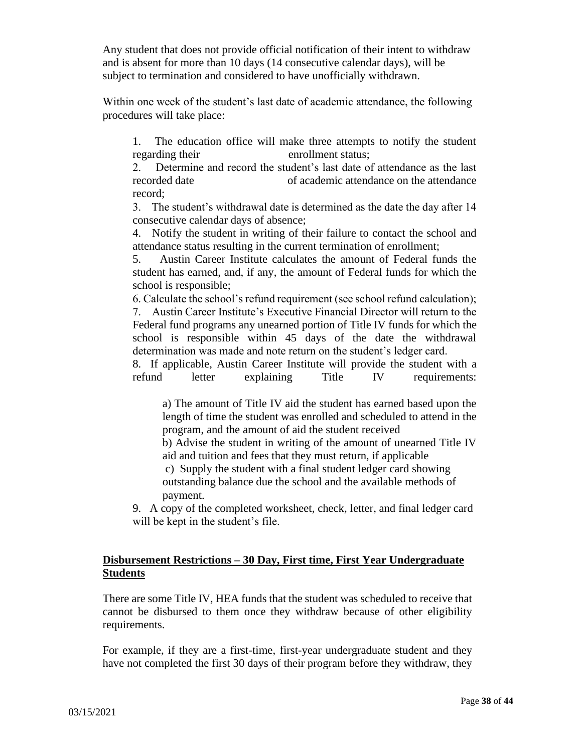Any student that does not provide official notification of their intent to withdraw and is absent for more than 10 days (14 consecutive calendar days), will be subject to termination and considered to have unofficially withdrawn.

Within one week of the student's last date of academic attendance, the following procedures will take place:

1. The education office will make three attempts to notify the student regarding their enrollment status;

2. Determine and record the student's last date of attendance as the last recorded date of academic attendance on the attendance record;

3. The student's withdrawal date is determined as the date the day after 14 consecutive calendar days of absence;

4. Notify the student in writing of their failure to contact the school and attendance status resulting in the current termination of enrollment;

5. Austin Career Institute calculates the amount of Federal funds the student has earned, and, if any, the amount of Federal funds for which the school is responsible;

6. Calculate the school's refund requirement (see school refund calculation); 7. Austin Career Institute's Executive Financial Director will return to the Federal fund programs any unearned portion of Title IV funds for which the school is responsible within 45 days of the date the withdrawal determination was made and note return on the student's ledger card.

8. If applicable, Austin Career Institute will provide the student with a refund letter explaining Title IV requirements:

a) The amount of Title IV aid the student has earned based upon the length of time the student was enrolled and scheduled to attend in the program, and the amount of aid the student received

b) Advise the student in writing of the amount of unearned Title IV aid and tuition and fees that they must return, if applicable

c) Supply the student with a final student ledger card showing outstanding balance due the school and the available methods of payment.

9. A copy of the completed worksheet, check, letter, and final ledger card will be kept in the student's file.

## **Disbursement Restrictions – 30 Day, First time, First Year Undergraduate Students**

There are some Title IV, HEA funds that the student was scheduled to receive that cannot be disbursed to them once they withdraw because of other eligibility requirements.

For example, if they are a first-time, first-year undergraduate student and they have not completed the first 30 days of their program before they withdraw, they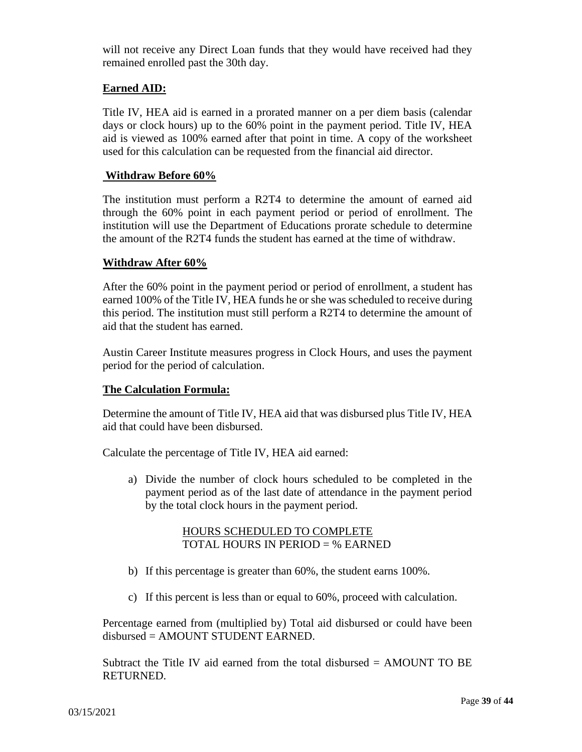will not receive any Direct Loan funds that they would have received had they remained enrolled past the 30th day.

#### **Earned AID:**

Title IV, HEA aid is earned in a prorated manner on a per diem basis (calendar days or clock hours) up to the 60% point in the payment period. Title IV, HEA aid is viewed as 100% earned after that point in time. A copy of the worksheet used for this calculation can be requested from the financial aid director.

#### **Withdraw Before 60%**

The institution must perform a R2T4 to determine the amount of earned aid through the 60% point in each payment period or period of enrollment. The institution will use the Department of Educations prorate schedule to determine the amount of the R2T4 funds the student has earned at the time of withdraw.

#### **Withdraw After 60%**

After the 60% point in the payment period or period of enrollment, a student has earned 100% of the Title IV, HEA funds he or she was scheduled to receive during this period. The institution must still perform a R2T4 to determine the amount of aid that the student has earned.

Austin Career Institute measures progress in Clock Hours, and uses the payment period for the period of calculation.

#### **The Calculation Formula:**

Determine the amount of Title IV, HEA aid that was disbursed plus Title IV, HEA aid that could have been disbursed.

Calculate the percentage of Title IV, HEA aid earned:

a) Divide the number of clock hours scheduled to be completed in the payment period as of the last date of attendance in the payment period by the total clock hours in the payment period.

#### HOURS SCHEDULED TO COMPLETE TOTAL HOURS IN PERIOD = % EARNED

- b) If this percentage is greater than 60%, the student earns 100%.
- c) If this percent is less than or equal to 60%, proceed with calculation.

Percentage earned from (multiplied by) Total aid disbursed or could have been disbursed = AMOUNT STUDENT EARNED.

Subtract the Title IV aid earned from the total disbursed = AMOUNT TO BE RETURNED.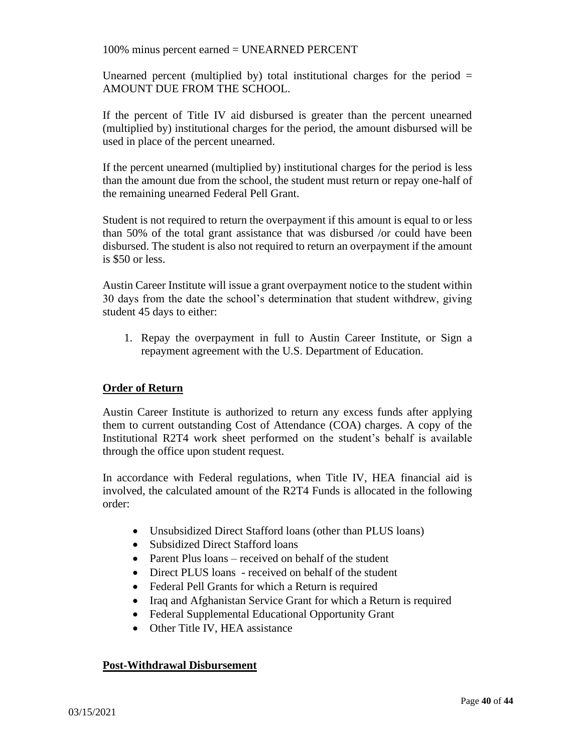100% minus percent earned = UNEARNED PERCENT

Unearned percent (multiplied by) total institutional charges for the period  $=$ AMOUNT DUE FROM THE SCHOOL.

If the percent of Title IV aid disbursed is greater than the percent unearned (multiplied by) institutional charges for the period, the amount disbursed will be used in place of the percent unearned.

If the percent unearned (multiplied by) institutional charges for the period is less than the amount due from the school, the student must return or repay one-half of the remaining unearned Federal Pell Grant.

Student is not required to return the overpayment if this amount is equal to or less than 50% of the total grant assistance that was disbursed /or could have been disbursed. The student is also not required to return an overpayment if the amount is \$50 or less.

Austin Career Institute will issue a grant overpayment notice to the student within 30 days from the date the school's determination that student withdrew, giving student 45 days to either:

1. Repay the overpayment in full to Austin Career Institute, or Sign a repayment agreement with the U.S. Department of Education.

#### **Order of Return**

Austin Career Institute is authorized to return any excess funds after applying them to current outstanding Cost of Attendance (COA) charges. A copy of the Institutional R2T4 work sheet performed on the student's behalf is available through the office upon student request.

In accordance with Federal regulations, when Title IV, HEA financial aid is involved, the calculated amount of the R2T4 Funds is allocated in the following order:

- Unsubsidized Direct Stafford loans (other than PLUS loans)
- Subsidized Direct Stafford loans
- Parent Plus loans received on behalf of the student
- Direct PLUS loans received on behalf of the student
- Federal Pell Grants for which a Return is required
- Iraq and Afghanistan Service Grant for which a Return is required
- Federal Supplemental Educational Opportunity Grant
- Other Title IV, HEA assistance

#### **Post-Withdrawal Disbursement**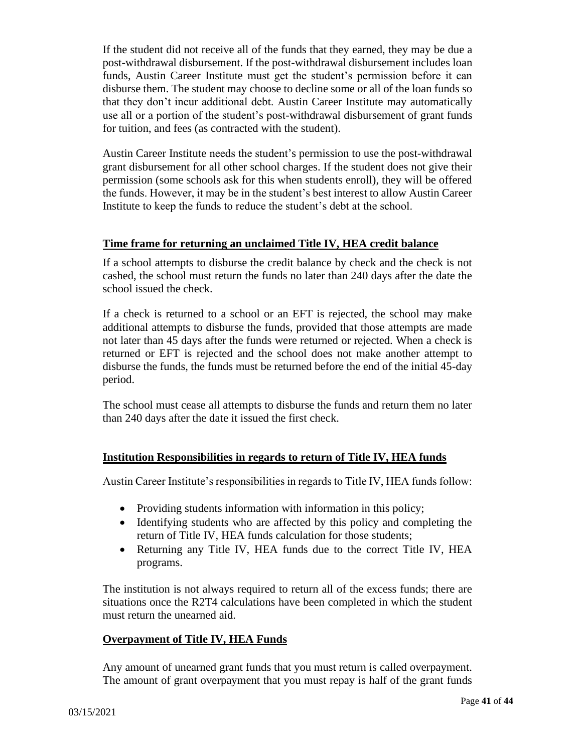If the student did not receive all of the funds that they earned, they may be due a post-withdrawal disbursement. If the post-withdrawal disbursement includes loan funds, Austin Career Institute must get the student's permission before it can disburse them. The student may choose to decline some or all of the loan funds so that they don't incur additional debt. Austin Career Institute may automatically use all or a portion of the student's post-withdrawal disbursement of grant funds for tuition, and fees (as contracted with the student).

Austin Career Institute needs the student's permission to use the post-withdrawal grant disbursement for all other school charges. If the student does not give their permission (some schools ask for this when students enroll), they will be offered the funds. However, it may be in the student's best interest to allow Austin Career Institute to keep the funds to reduce the student's debt at the school.

#### **Time frame for returning an unclaimed Title IV, HEA credit balance**

If a school attempts to disburse the credit balance by check and the check is not cashed, the school must return the funds no later than 240 days after the date the school issued the check.

If a check is returned to a school or an EFT is rejected, the school may make additional attempts to disburse the funds, provided that those attempts are made not later than 45 days after the funds were returned or rejected. When a check is returned or EFT is rejected and the school does not make another attempt to disburse the funds, the funds must be returned before the end of the initial 45-day period.

The school must cease all attempts to disburse the funds and return them no later than 240 days after the date it issued the first check.

#### **Institution Responsibilities in regards to return of Title IV, HEA funds**

Austin Career Institute's responsibilities in regards to Title IV, HEA funds follow:

- Providing students information with information in this policy;
- Identifying students who are affected by this policy and completing the return of Title IV, HEA funds calculation for those students;
- Returning any Title IV, HEA funds due to the correct Title IV, HEA programs.

The institution is not always required to return all of the excess funds; there are situations once the R2T4 calculations have been completed in which the student must return the unearned aid.

#### **Overpayment of Title IV, HEA Funds**

Any amount of unearned grant funds that you must return is called overpayment. The amount of grant overpayment that you must repay is half of the grant funds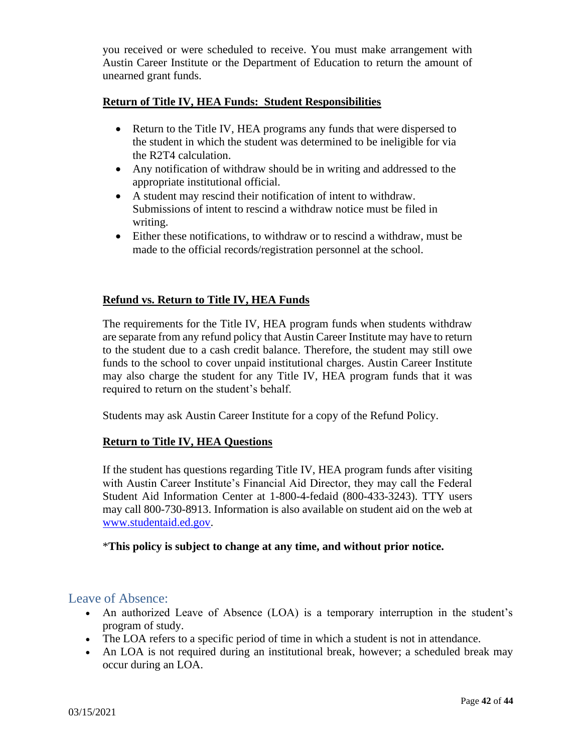you received or were scheduled to receive. You must make arrangement with Austin Career Institute or the Department of Education to return the amount of unearned grant funds.

#### **Return of Title IV, HEA Funds: Student Responsibilities**

- Return to the Title IV, HEA programs any funds that were dispersed to the student in which the student was determined to be ineligible for via the R2T4 calculation.
- Any notification of withdraw should be in writing and addressed to the appropriate institutional official.
- A student may rescind their notification of intent to withdraw. Submissions of intent to rescind a withdraw notice must be filed in writing.
- Either these notifications, to withdraw or to rescind a withdraw, must be made to the official records/registration personnel at the school.

## **Refund vs. Return to Title IV, HEA Funds**

The requirements for the Title IV, HEA program funds when students withdraw are separate from any refund policy that Austin Career Institute may have to return to the student due to a cash credit balance. Therefore, the student may still owe funds to the school to cover unpaid institutional charges. Austin Career Institute may also charge the student for any Title IV, HEA program funds that it was required to return on the student's behalf.

Students may ask Austin Career Institute for a copy of the Refund Policy.

## **Return to Title IV, HEA Questions**

If the student has questions regarding Title IV, HEA program funds after visiting with Austin Career Institute's Financial Aid Director, they may call the Federal Student Aid Information Center at 1-800-4-fedaid (800-433-3243). TTY users may call 800-730-8913. Information is also available on student aid on the web at [www.studentaid.ed.gov.](http://www.studentaid.ed.gov/)

#### \***This policy is subject to change at any time, and without prior notice.**

## <span id="page-41-0"></span>Leave of Absence:

- An authorized Leave of Absence (LOA) is a temporary interruption in the student's program of study.
- The LOA refers to a specific period of time in which a student is not in attendance.
- An LOA is not required during an institutional break, however; a scheduled break may occur during an LOA.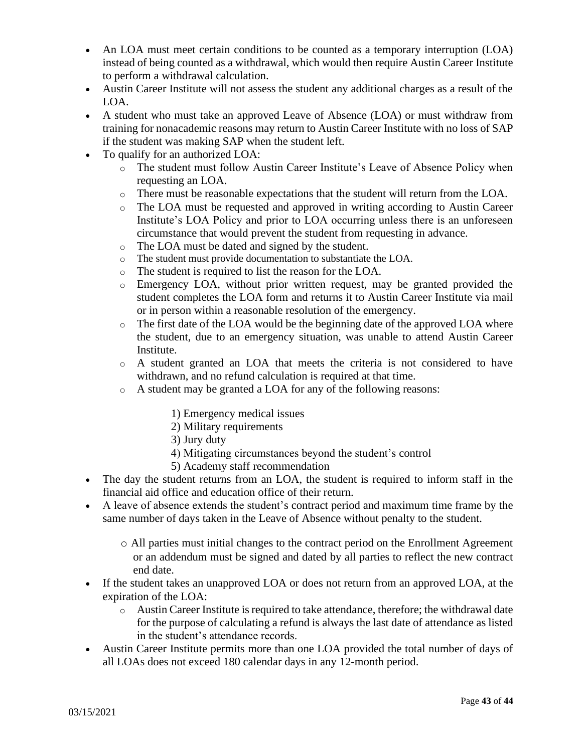- An LOA must meet certain conditions to be counted as a temporary interruption (LOA) instead of being counted as a withdrawal, which would then require Austin Career Institute to perform a withdrawal calculation.
- Austin Career Institute will not assess the student any additional charges as a result of the LOA.
- A student who must take an approved Leave of Absence (LOA) or must withdraw from training for nonacademic reasons may return to Austin Career Institute with no loss of SAP if the student was making SAP when the student left.
- To qualify for an authorized LOA:
	- o The student must follow Austin Career Institute's Leave of Absence Policy when requesting an LOA.
	- o There must be reasonable expectations that the student will return from the LOA.
	- o The LOA must be requested and approved in writing according to Austin Career Institute's LOA Policy and prior to LOA occurring unless there is an unforeseen circumstance that would prevent the student from requesting in advance.
	- o The LOA must be dated and signed by the student.
	- o The student must provide documentation to substantiate the LOA.
	- o The student is required to list the reason for the LOA.
	- o Emergency LOA, without prior written request, may be granted provided the student completes the LOA form and returns it to Austin Career Institute via mail or in person within a reasonable resolution of the emergency.
	- o The first date of the LOA would be the beginning date of the approved LOA where the student, due to an emergency situation, was unable to attend Austin Career Institute.
	- o A student granted an LOA that meets the criteria is not considered to have withdrawn, and no refund calculation is required at that time.
	- o A student may be granted a LOA for any of the following reasons:
		- 1) Emergency medical issues
		- 2) Military requirements
		- 3) Jury duty
		- 4) Mitigating circumstances beyond the student's control
		- 5) Academy staff recommendation
- The day the student returns from an LOA, the student is required to inform staff in the financial aid office and education office of their return.
- A leave of absence extends the student's contract period and maximum time frame by the same number of days taken in the Leave of Absence without penalty to the student.
	- o All parties must initial changes to the contract period on the Enrollment Agreement or an addendum must be signed and dated by all parties to reflect the new contract end date.
- If the student takes an unapproved LOA or does not return from an approved LOA, at the expiration of the LOA:
	- o Austin Career Institute is required to take attendance, therefore; the withdrawal date for the purpose of calculating a refund is always the last date of attendance as listed in the student's attendance records.
- Austin Career Institute permits more than one LOA provided the total number of days of all LOAs does not exceed 180 calendar days in any 12-month period.